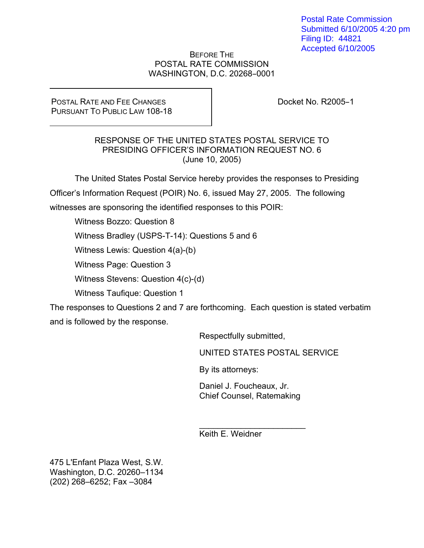Postal Rate Commission Submitted 6/10/2005 4:20 pm Filing ID: 44821 Accepted 6/10/2005

## BEFORE THE POSTAL RATE COMMISSION WASHINGTON, D.C. 20268-0001

POSTAL RATE AND FEE CHANGES PURSUANT TO PUBLIC LAW 108-18 Docket No. R2005-1

## RESPONSE OF THE UNITED STATES POSTAL SERVICE TO PRESIDING OFFICER'S INFORMATION REQUEST NO. 6 (June 10, 2005)

 The United States Postal Service hereby provides the responses to Presiding Officer's Information Request (POIR) No. 6, issued May 27, 2005. The following witnesses are sponsoring the identified responses to this POIR:

Witness Bozzo: Question 8

Witness Bradley (USPS-T-14): Questions 5 and 6

Witness Lewis: Question 4(a)-(b)

Witness Page: Question 3

Witness Stevens: Question 4(c)-(d)

Witness Taufique: Question 1

The responses to Questions 2 and 7 are forthcoming. Each question is stated verbatim and is followed by the response.

Respectfully submitted,

UNITED STATES POSTAL SERVICE

By its attorneys:

Daniel J. Foucheaux, Jr. Chief Counsel, Ratemaking

 $\mathcal{L}_\text{max}$  , where  $\mathcal{L}_\text{max}$ 

Keith E. Weidner

475 L'Enfant Plaza West, S.W. Washington, D.C. 20260–1134 (202) 268–6252; Fax –3084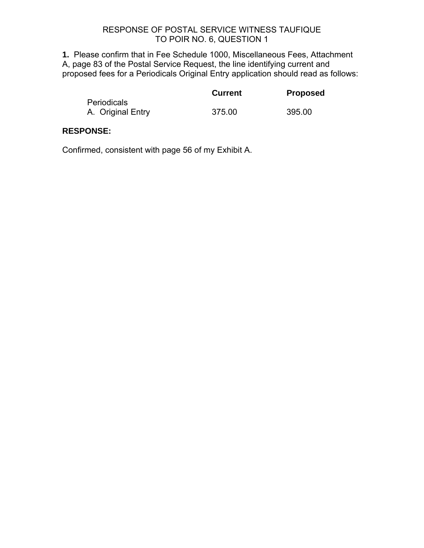**1.** Please confirm that in Fee Schedule 1000, Miscellaneous Fees, Attachment A, page 83 of the Postal Service Request, the line identifying current and proposed fees for a Periodicals Original Entry application should read as follows:

|                    | <b>Current</b> | <b>Proposed</b> |
|--------------------|----------------|-----------------|
| <b>Periodicals</b> |                |                 |
| A. Original Entry  | 375.00         | 395.00          |

## **RESPONSE:**

Confirmed, consistent with page 56 of my Exhibit A.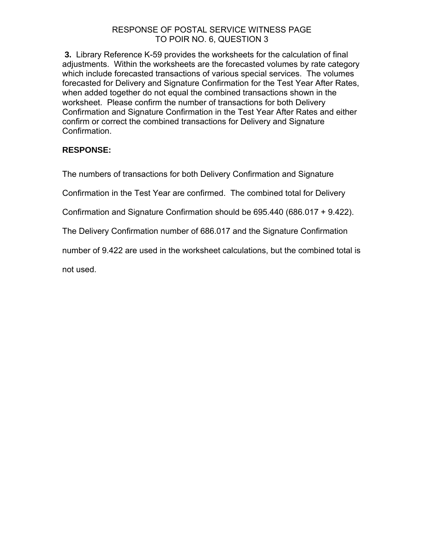**3.** Library Reference K-59 provides the worksheets for the calculation of final adjustments. Within the worksheets are the forecasted volumes by rate category which include forecasted transactions of various special services. The volumes forecasted for Delivery and Signature Confirmation for the Test Year After Rates, when added together do not equal the combined transactions shown in the worksheet. Please confirm the number of transactions for both Delivery Confirmation and Signature Confirmation in the Test Year After Rates and either confirm or correct the combined transactions for Delivery and Signature Confirmation.

# **RESPONSE:**

The numbers of transactions for both Delivery Confirmation and Signature

Confirmation in the Test Year are confirmed. The combined total for Delivery

Confirmation and Signature Confirmation should be 695.440 (686.017 + 9.422).

The Delivery Confirmation number of 686.017 and the Signature Confirmation

number of 9.422 are used in the worksheet calculations, but the combined total is

not used.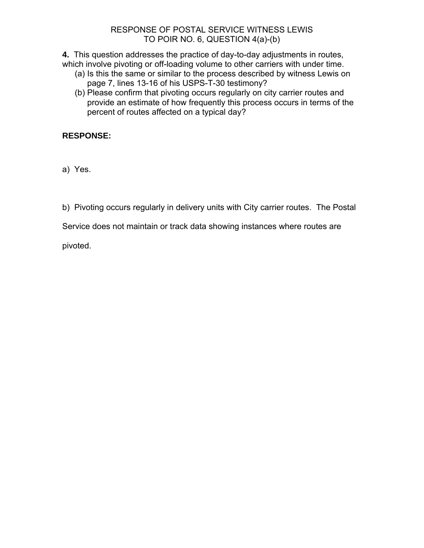## RESPONSE OF POSTAL SERVICE WITNESS LEWIS TO POIR NO. 6, QUESTION 4(a)-(b)

**4.** This question addresses the practice of day-to-day adjustments in routes, which involve pivoting or off-loading volume to other carriers with under time.

- (a) Is this the same or similar to the process described by witness Lewis on page 7, lines 13-16 of his USPS-T-30 testimony?
- (b) Please confirm that pivoting occurs regularly on city carrier routes and provide an estimate of how frequently this process occurs in terms of the percent of routes affected on a typical day?

# **RESPONSE:**

a) Yes.

b) Pivoting occurs regularly in delivery units with City carrier routes. The Postal

Service does not maintain or track data showing instances where routes are

pivoted.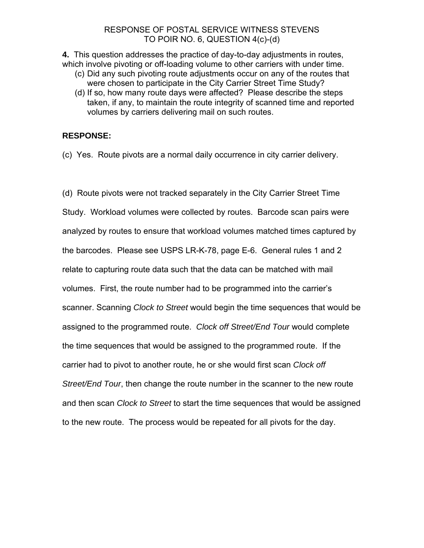## RESPONSE OF POSTAL SERVICE WITNESS STEVENS TO POIR NO. 6, QUESTION 4(c)-(d)

**4.** This question addresses the practice of day-to-day adjustments in routes, which involve pivoting or off-loading volume to other carriers with under time.

- (c) Did any such pivoting route adjustments occur on any of the routes that were chosen to participate in the City Carrier Street Time Study?
- (d) If so, how many route days were affected? Please describe the steps taken, if any, to maintain the route integrity of scanned time and reported volumes by carriers delivering mail on such routes.

# **RESPONSE:**

(c) Yes. Route pivots are a normal daily occurrence in city carrier delivery.

(d) Route pivots were not tracked separately in the City Carrier Street Time Study. Workload volumes were collected by routes. Barcode scan pairs were analyzed by routes to ensure that workload volumes matched times captured by the barcodes. Please see USPS LR-K-78, page E-6. General rules 1 and 2 relate to capturing route data such that the data can be matched with mail volumes. First, the route number had to be programmed into the carrier's scanner. Scanning *Clock to Street* would begin the time sequences that would be assigned to the programmed route. *Clock off Street/End Tour* would complete the time sequences that would be assigned to the programmed route. If the carrier had to pivot to another route, he or she would first scan *Clock off Street/End Tour*, then change the route number in the scanner to the new route and then scan *Clock to Street* to start the time sequences that would be assigned to the new route. The process would be repeated for all pivots for the day.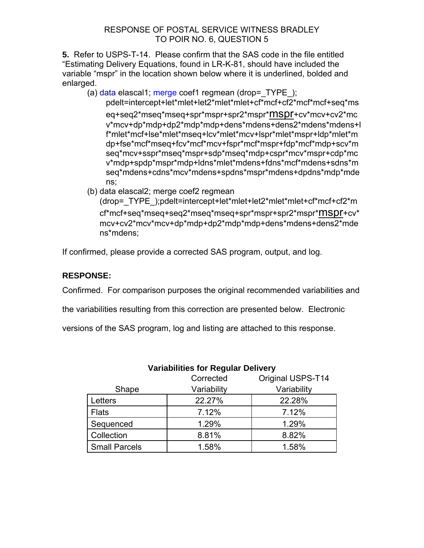**5.** Refer to USPS-T-14. Please confirm that the SAS code in the file entitled "Estimating Delivery Equations, found in LR-K-81, should have included the variable "mspr" in the location shown below where it is underlined, bolded and enlarged.

(a) data elascal1; merge coef1 regmean (drop= $TYPE$ );

pdelt=intercept+let\*mlet+let2\*mlet\*mlet+cf\*mcf+cf2\*mcf\*mcf+seq\*ms eq+seq2\*mseq\*mseq+spr\*mspr+spr2\*mspr\*mspr+cv\*mcv+cv2\*mc v\*mcv+dp\*mdp+dp2\*mdp\*mdp+dens\*mdens+dens2\*mdens\*mdens+l f\*mlet\*mcf+lse\*mlet\*mseq+lcv\*mlet\*mcv+lspr\*mlet\*mspr+ldp\*mlet\*m dp+fse\*mcf\*mseq+fcv\*mcf\*mcv+fspr\*mcf\*mspr+fdp\*mcf\*mdp+scv\*m seq\*mcv+sspr\*mseq\*mspr+sdp\*mseq\*mdp+cspr\*mcv\*mspr+cdp\*mc v\*mdp+spdp\*mspr\*mdp+ldns\*mlet\*mdens+fdns\*mcf\*mdens+sdns\*m seq\*mdens+cdns\*mcv\*mdens+spdns\*mspr\*mdens+dpdns\*mdp\*mde ns;

(b) data elascal2; merge coef2 regmean

(drop=\_TYPE\_);pdelt=intercept+let\*mlet+let2\*mlet\*mlet+cf\*mcf+cf2\*m cf\*mcf+seq\*mseq+seq2\*mseq\*mseq+spr\*mspr+spr2\*mspr\*mspr+cv\* mcv+cv2\*mcv\*mcv+dp\*mdp+dp2\*mdp\*mdp+dens\*mdens+dens2\*mde ns\*mdens;

If confirmed, please provide a corrected SAS program, output, and log.

# **RESPONSE:**

Confirmed. For comparison purposes the original recommended variabilities and

the variabilities resulting from this correction are presented below. Electronic

versions of the SAS program, log and listing are attached to this response.

|                      | Corrected   | Original USPS-T14 |
|----------------------|-------------|-------------------|
| Shape                | Variability | Variability       |
| Letters              | 22.27%      | 22.28%            |
| <b>Flats</b>         | 7.12%       | 7.12%             |
| Sequenced            | 1.29%       | 1.29%             |
| Collection           | 8.81%       | 8.82%             |
| <b>Small Parcels</b> | 1.58%       | 1.58%             |

# **Variabilities for Regular Delivery**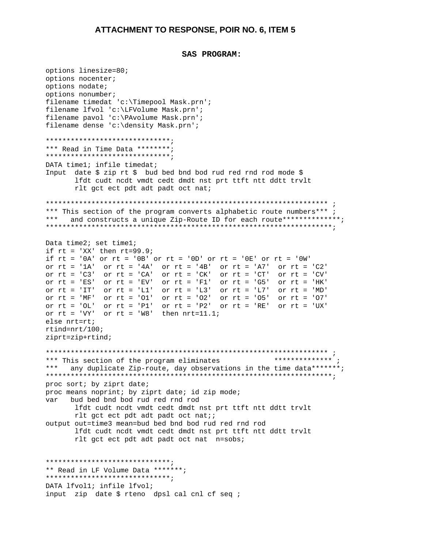```
SAS PROGRAM:
```

```
options linesize=80;
options nocenter;
options nodate;
options nonumber;
filename timedat 'c:\Timepool Mask.prn';
filename lfvol 'c:\LFVolume Mask.prn';
filename pavol 'c:\PAvolume Mask.prn';
filename dense 'c:\density Mask.prn';
********************************
*** Read in Time Data ********;
********************************
DATA timel; infile timedat;
Input date $ zip rt $ bud bed bnd bod rud red rnd rod mode $
      lfdt cudt nedt vmdt cedt dmdt nst prt ttft ntt ddtt trylt
      rlt get ect pdt adt padt oct nat;
*** This section of the program converts alphabetic route numbers***;
* * *
    and constructs a unique Zip-Route ID for each route*************;
Data time2; set time1;
if rt = 'XX' then rt=99.9;
if rt = '0A' or rt = '0B' or rt = '0D' or rt = '0E' or rt = '0W'or rt = '1A' or rt = '4A' or rt = '4B' or rt = 'A7' or rt = 'C2'<br>or rt = 'C3' or rt = 'CA' or rt = 'CK' or rt = 'CT' or rt = 'CV'or rt = 'ES' or rt = 'EV' or rt = 'F1' or rt = 'G5' or rt = 'HK'
or rt = 'IT' or rt = 'L1' or rt = 'L3' or rt = 'L7' or rt = 'MD'
or rt = 'MF' or rt = '01' or rt = '02' or rt = '05' or rt = '07'or rt = 'OL' or rt = 'Pl' or rt = 'P2' or rt = 'RE' or rt = 'UK'or rt = 'VY' or rt = 'W8' then nrt=11.1;
else nrt=rt;rtind = nrt/100;
ziprt=zip+rtind;*** This section of the program eliminates
                                                ************** .
*** any duplicate Zip-route, day observations in the time data*******;
proc sort; by ziprt date;
proc means noprint; by ziprt date; id zip mode;
    bud bed bnd bod rud red rnd rod
var
      lfdt cudt nodt vmdt cedt dmdt nst prt ttft ntt ddtt trvlt
      rlt get eet pdt adt padt oct nat;;
output out=time3 mean=bud bed bnd bod rud red rnd rod
      lfdt cudt nodt ymdt cedt dmdt nst prt ttft ntt ddtt trylt
      rlt get eet pdt adt padt oct nat n=sobs;
*******************************
** Read in LF Volume Data *******;
******************************
DATA lfvol1; infile lfvol;
input zip date $ rteno dpsl cal cnl cf seq ;
```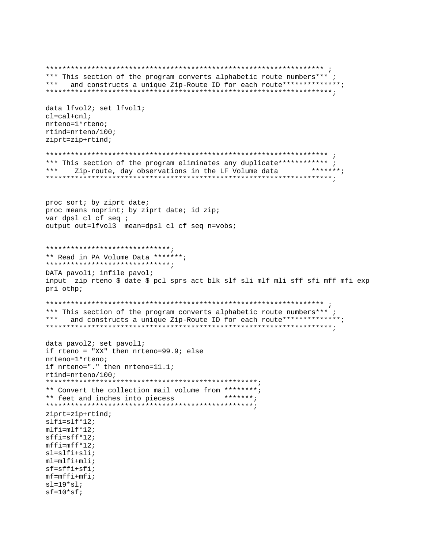\*\*\* This section of the program converts alphabetic route numbers\*\*\*; \*\*\* and constructs a unique Zip-Route ID for each route\*\*\*\*\*\*\*\*\*\*\*\*\*\*; data lfvol2; set lfvol1;  $cl = cal + cnl;$  $n$ rteno= $1$ \*rteno;  $rtind=nrteno/100;$  $ziprt=zip+rtind;$ \*\*\* This section of the program eliminates any duplicate\*\*\*\*\*\*\*\*\*\*\*\* ; \*\*\* Zip-route, day observations in the LF Volume data \*\*\*\*\*\*\*; proc sort; by ziprt date; proc means noprint; by ziprt date; id zip; var dpsl cl cf seq ; output out=lfvol3 mean=dpsl cl cf seq n=vobs; \*\*\*\*\*\*\*\*\*\*\*\*\*\*\*\*\*\*\*\*\*\*\*\*\*\*\*\*\*\*\* \*\* Read in PA Volume Data \*\*\*\*\*\*\*; \*\*\*\*\*\*\*\*\*\*\*\*\*\*\*\*\*\*\*\*\*\*\*\*\*\*\*\*\*\*\* DATA pavol1; infile pavol; input zip rteno \$ date \$ pcl sprs act blk slf sli mlf mli sff sfi mff mfi exp pri othp; \*\*\* This section of the program converts alphabetic route numbers\*\*\*; \*\*\* and constructs a unique Zip-Route ID for each route\*\*\*\*\*\*\*\*\*\*\*\*\*\*; data pavol2; set pavol1; if rteno = "XX" then  $nrteno=99.9$ ; else  $n$ rteno= $1$ \*rteno; if nrteno="." then nrteno=11.1; rtind=nrteno/100; \*\* Convert the collection mail volume from \*\*\*\*\*\*\*\*; \*\* feet and inches into piecess \*\*\*\*\*\*\*;  $ziprt=zip+rtind;$  $slfi=slf*12;$  $m1f1=m1f*12;$  $sffi=sff*12;$  $mffi = mff * 12;$  $sl=slfi+sli;$  $ml = mlf i + ml i;$  $sf=sffi+sfi$  $mf = mff i + mf i;$  $sl=19*sl;$  $sf=10*sf$ ;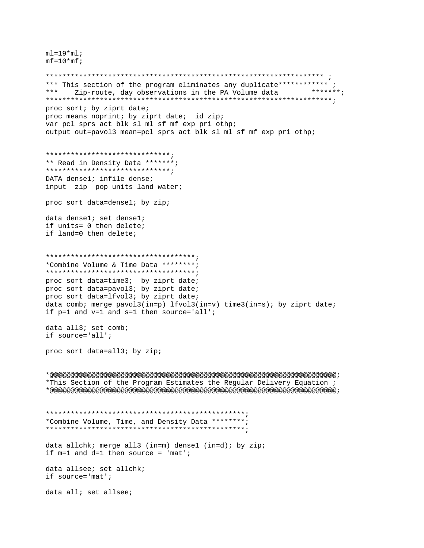$ml = 19*ml;$  $mf = 10*mf;$ 

\*\*\* This section of the program eliminates any duplicate\*\*\*\*\*\*\*\*\*\*\*\* ; \*\*\*\*\*\*\*; \*\*\* Zip-route, day observations in the PA Volume data proc sort; by ziprt date; proc means noprint; by ziprt date; id zip; var pcl sprs act blk sl ml sf mf exp pri othp; output out=pavol3 mean=pcl sprs act blk sl ml sf mf exp pri othp; \*\*\*\*\*\*\*\*\*\*\*\*\*\*\*\*\*\*\*\*\*\*\*\*\*\*\*\*\*\*\*\*\*\* \*\* Read in Density Data \*\*\*\*\*\*\*; \*\*\*\*\*\*\*\*\*\*\*\*\*\*\*\*\*\*\*\*\*\*\*\*\*\*\*\*\*\*\*\*\* DATA densel; infile dense; input zip pop units land water; proc sort data=densel; by zip; data densel; set densel; if units= 0 then delete; if land=0 then delete; \*Combine Volume & Time Data \*\*\*\*\*\*\*\*; proc sort data=time3; by ziprt date; proc sort data=pavol3; by ziprt date; proc sort data=lfvol3; by ziprt date; data comb; merge pavol3(in=p) lfvol3(in=v) time3(in=s); by ziprt date; if  $p=1$  and  $v=1$  and  $s=1$  then source='all'; data all3; set comb; if source='all'; proc sort data=all3; by zip; \*This Section of the Program Estimates the Regular Delivery Equation ;  $*$ \*Combine Volume, Time, and Density Data \*\*\*\*\*\*\*\*; data allchk; merge all3 (in=m) dense1 (in=d); by zip; if  $m=1$  and  $d=1$  then source = 'mat'; data allsee; set allchk; if source='mat'; data all; set allsee;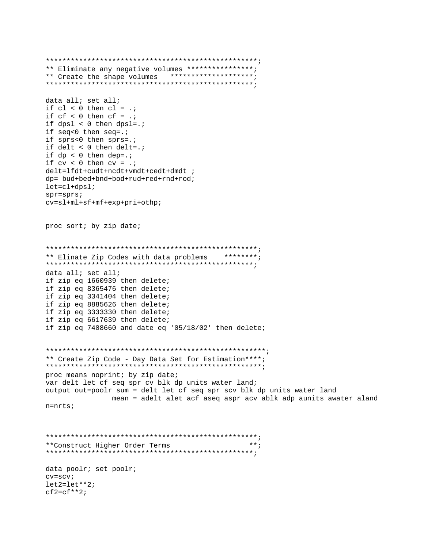```
** Eliminate any negative volumes ****************;
** Create the shape volumes ********************;
data all; set all;
if cl < 0 then cl = .;
if cf < 0 then cf = .;
if dpsi < 0 then dpsi = iif seq<0 then seq=.;
if sprs<0 then sprs=.;
if delt < 0 then delt=.;
if dp < 0 then dep = .7if cv < 0 then cv = .;
delt=lfdt+cudt+ncdt+vmdt+cedt+dmdt ;
dp= bud+bed+bnd+bod+rud+red+rnd+rod;
let = c1 + dps1;spr = sprscv=sl+ml+sf+mf+exp+pri+othp;
proc sort; by zip date;
** Elinate Zip Codes with data problems ********;
data all; set all;
if zip eq 1660939 then delete;
if zip eq 8365476 then delete;
if zip eq 3341404 then delete;
if zip eq 8885626 then delete;
if zip eq 3333330 then delete;
if zip eq 6617639 then delete;
if zip eq 7408660 and date eq '05/18/02' then delete;
** Create Zip Code - Day Data Set for Estimation****;
proc means noprint; by zip date;
var delt let cf seq spr cv blk dp units water land;
output out=poolr sum = delt let cf seq spr scv blk dp units water land
           mean = adelt alet acf aseq aspr acv ablk adp aunits awater aland
n = nrts;**Construct Higher Order Terms
                                    ***data poolr; set poolr;
cv = scvlet2 = let***2;cf2=cf**2;
```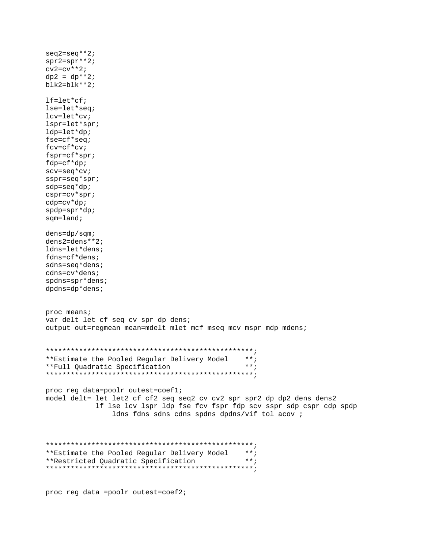$seq2 = seq**2;$  $spr2=spr**2;$  $cv2 = cv**2;$  $dp2 = dp**2;$  $blk2 = blk**2;$  $lf = let * cf;$ lse=let\*seq; lcv=let\*cv;  $lspr=let*spr;$  $ldp = let * dp:$ fse=cf\*seq;  $fcv = cf * cv;$  $fspr=cf*spr;$  $fdp=cf*dp;$  $scv = seq * cv$  $sspr = seq * spr$ ;  $sdp = seq * dp$ ;  $cspr=cv*spr;$  $cdp=cv*dp;$  $spdp = spr * dp;$  $sqm = land;$  $dens = dp/s$ qm;  $dens2 = dens**2;$ ldns=let\*dens; fdns=cf\*dens; sdns=seq\*dens;  $\texttt{cdns} = \texttt{cv*dens}$ ;  $s$ pdns= $spr*$ dens;  $dp$ dns=dp\*dens; proc means; var delt let cf seq cv spr dp dens; output out=regmean mean=mdelt mlet mcf mseq mcv mspr mdp mdens; \*\*Estimate the Pooled Reqular Delivery Model \*\*; \*\*Full Quadratic Specification  $***;$ proc reg data=poolr outest=coefl; model delt= let let2 cf cf2 seq seq2 cv cv2 spr spr2 dp dp2 dens dens2 If lse lcv lspr ldp fse fcv fspr fdp scv sspr sdp cspr cdp spdp ldns fdns sdns cdns spdns dpdns/vif tol acov ; \*\* Estimate the Pooled Regular Delivery Model \*\*;  $***$ ; \*\*Restricted Quadratic Specification 

proc reg data =poolr outest=coef2;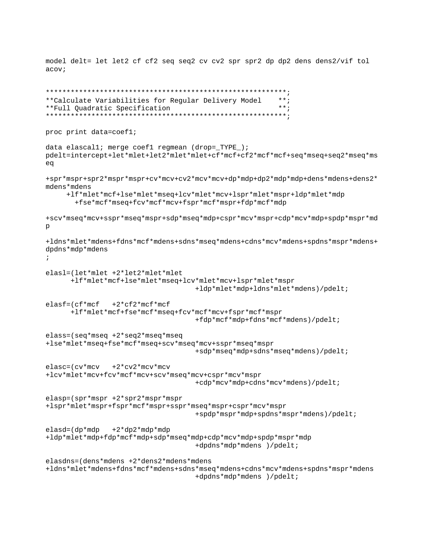model delt= let let2 cf cf2 seq seq2 cv cv2 spr spr2 dp dp2 dens dens2/vif tol  $acov:$ 

```
**Calculate Variabilities for Regular Delivery Model
                                                    ***;**Full Quadratic Specification
                                                     ***proc print data=coef1;
data elascall; merge coef1 regmean (drop=_TYPE_);
pdelt=intercept+let*mlet+let2*mlet*mlet+cf*mcf+cf2*mcf*mcf+seq*mseq+seq2*mseq*ms
eq
+spr*mspr+spr2*mspr*mspr+cv*mcv+cv2*mcv*mcv+dp*mdp+dp2*mdp*mdp+dens*mdens+dens2*
mdens*mdens
    +1f*mlet*mcf+lse*mlet*mseq+lcv*mlet*mcv+lspr*mlet*mspr+ldp*mlet*mdp
      +fse*mcf*mseq+fcv*mcf*mcv+fspr*mcf*mspr+fdp*mcf*mdp
+scv*mseq*mcv+sspr*mseq*mspr+sdp*mseq*mdp+cspr*mcv*mspr+cdp*mcv*mdp+spdp*mspr*md
\mathsf{p}+1dns*mlet*mdens+fdns*mcf*mdens+sdns*mseq*mdens+cdns*mcv*mdens+spdns*mspr*mdens+
dpdns*mdp*mdens
\cdotelas1=(let*mlet +2*let2*mlet*mlet
     +lf*mlet*mcf+lse*mlet*mseq+lcv*mlet*mcv+lspr*mlet*mspr
                                  +ldp*mlet*mdp+ldns*mlet*mdens)/pdelt;
               +2*cf2*mcf*mcf
elastic = (cf*mcf+lf*mlet*mcf+fse*mcf*mseq+fcv*mcf*mcv+fspr*mcf*mspr
                                  +fdp*mcf*mdp+fdns*mcf*mdens)/pdelt;
class=(seq*mse + 2*seq2*mse * merge)+lse*mlet*mseq+fse*mcf*mseq+scv*mseq*mcv+sspr*mseq*mspr
                                  +sdp*mseq*mdp+sdns*mseq*mdens)/pdelt;
elasc=(cv*mcv)+2*cv2*mcv*mcv
+lcv*mlet*mcv+fcv*mcf*mcv+scv*mseq*mcv+cspr*mcv*mspr
                                  +cdp*mcv*mdp+cdns*mcv*mdens)/pdelt;
elasp=(spr*mspr +2*spr2*mspr*mspr
+lspr*mlet*mspr+fspr*mcf*mspr+sspr*mseq*mspr+cspr*mcv*mspr
                                 +spdp*mspr*mdp+spdns*mspr*mdens)/pdelt;
elasd = (dp*mdp)+2*dp2*mdp*mdp+ldp*mlet*mdp+fdp*mcf*mdp+sdp*mseq*mdp+cdp*mcv*mdp+spdp*mspr*mdp
                                  +dpdns*mdp*mdens )/pdelt;
elasdns=(dens*mdens +2*dens2*mdens*mdens
+1dns*mlet*mdens+fdns*mcf*mdens+sdns*mseq*mdens+cdns*mcv*mdens+spdns*mspr*mdens
                                  +dpdns*mdp*mdens )/pdelt;
```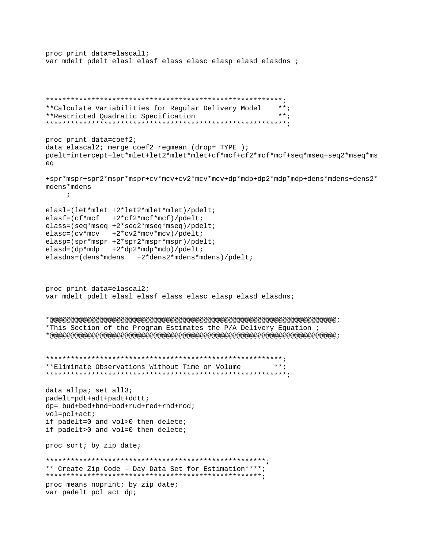```
proc print data=elascall;
var mdelt pdelt elasl elasf elass elasc elasp elasd elasdns ;
**Calculate Variabilities for Regular Delivery Model
                                           ******;
**Restricted Quadratic Specification
proc print data=coef2;
data elascal2; merge coef2 regmean (drop=_TYPE_);
pdelt=intercept+let*mlet+let2*mlet*mlet+cf*mcf+cf2*mcf*mcf+seq*mseq+seq2*mseq*ms
eq
+spr*mspr+spr2*mspr*mspr+cv*mcv+cv2*mcv*mcv+dp*mdp+dp2*mdp*mdp+dens*mdens+dens2*
mdens*mdens
  \overline{\phantom{a}}elasl=(let*mlet +2*let2*mlet*mlet)/pdelt;
\text{elastic}(\text{cf}*\text{mcf} + 2*\text{cf}2*\text{mcf}*\text{mcf})/\text{pdelt}\texttt{glass} = (\texttt{seq*mseq + 2*seq2*mseq*mseq}) / \texttt{pdelt}\text{elasc} = (\text{cv*mcv} + 2 \text{wc2*mcv*mcv}) / \text{pdelt}elasp=(spr*mspr +2*spr2*mspr*mspr)/pdelt;
elasd = (dp * mdp + 2 * dp2 * mdp * mdp) / pdelt;elasdns = (dens *mdens + 2 *dens *mdens *mdens) / pdeli;proc print data=elascal2;
var mdelt pdelt elasl elasf elass elasc elasp elasd elasdns;
*This Section of the Program Estimates the P/A Delivery Equation ;
**Eliminate Observations Without Time or Volume
                                           ***;data allpa; set all3;
padelt=pdt+adt+padt+ddtt;
dp= bud+bed+bnd+bod+rud+red+rnd+rod;
vol=pc1+act;if padelt=0 and vol>0 then delete;
if padelt>0 and vol=0 then delete;
proc sort; by zip date;
** Create Zip Code - Day Data Set for Estimation****;
proc means noprint; by zip date;
var padelt pcl act dp;
```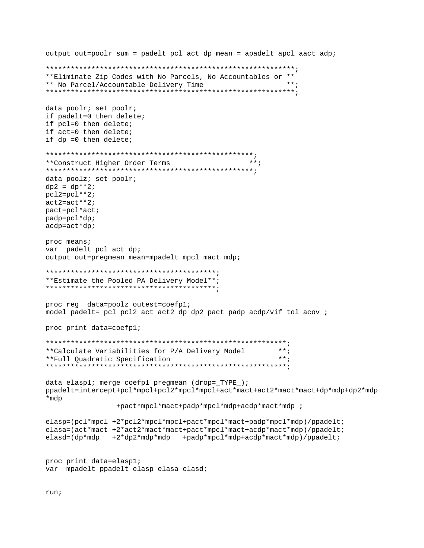```
output out=poolr sum = padelt pcl act dp mean = apadelt apcl aact adp;
**Eliminate Zip Codes with No Parcels, No Accountables or **
                                           ***:
** No Parcel/Accountable Delivery Time
data poolr; set poolr;
if padelt=0 then delete;
if pcl=0 then delete;
if act=0 then delete;
if dp = 0 then delete;
**Construct Higher Order Terms
                                    ***;
data poolz; set poolr;
dp2 = dp**2;pc12=pc1**2;act2 = act**2;patch*actpadp=pc1*dp;acdp = act * dpproc means;
var padelt pcl act dp;
output out=preqmean mean=mpadelt mpcl mact mdp;
**Estimate the Pooled PA Delivery Model**;
proc reg data=poolz outest=coefpl;
model padelt= pcl pcl2 act act2 dp dp2 pact padp acdp/vif tol acov ;
proc print data=coefpl;
***:
**Calculate Variabilities for P/A Delivery Model
                                          ***:
**Full Ouadratic Specification
data elaspl; merge coefpl pregmean (drop=_TYPE_);
ppadelt=intercept+pcl*mpcl+pcl2*mpcl*mpcl+act*mact+act2*mact*mact+dp*mdp+dp2*mdp
*mdp
            +pact*mpcl*mact+padp*mpcl*mdp+acdp*mact*mdp ;
elasp=(pcl*mpcl +2*pcl2*mpcl*mpcl+pact*mpcl*mact+padp*mpcl*mdp)/ppadelt;
elasa=(act*mact +2*act2*mact*mact+pact*mpcl*mact+acdp*mact*mdp)/ppadelt;
elasd=(dp*mdp +2*dp2*mdp*mdp +padp*mpcl*mdp+acdp*mact*mdp)/ppadelt;
proc print data=elaspl;
var mpadelt ppadelt elasp elasa elasd;
```
run;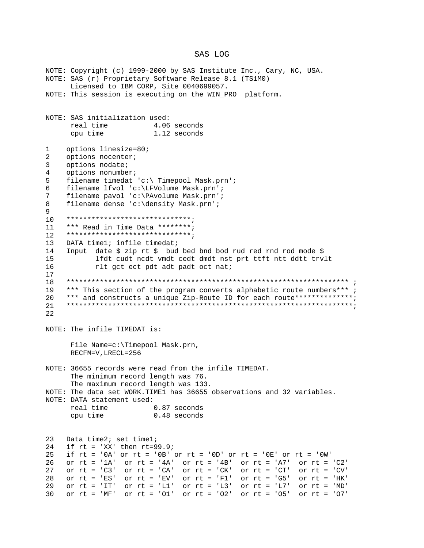#### SAS LOG

NOTE: Copyright (c) 1999-2000 by SAS Institute Inc., Cary, NC, USA. NOTE: SAS (r) Proprietary Software Release 8.1 (TS1MO) Licensed to IBM CORP, Site 0040699057. NOTE: This session is executing on the WIN\_PRO platform. NOTE: SAS initialization used: real time 4.06 seconds 1.12 seconds cpu time  $\mathbf{1}$ options linesize=80;  $\overline{2}$ options nocenter; options nodate;  $\mathcal{E}$  $\overline{4}$ options nonumber; 5 filename timedat 'c:\ Timepool Mask.prn'; filename lfvol 'c:\LFVolume Mask.prn'; 6 filename pavol 'c:\PAvolume Mask.prn';  $7\phantom{.0}$ filename dense 'c:\density Mask.prn'; 8 9 \*\*\*\*\*\*\*\*\*\*\*\*\*\*\*\*\*\*\*\*\*\*\*\*\*\*\*\*\*\*\*  $10$ \*\*\* Read in Time Data \*\*\*\*\*\*\*\*;  $11$ \*\*\*\*\*\*\*\*\*\*\*\*\*\*\*\*\*\*\*\*\*\*\*\*\*\*\*\*\*\*\*  $12<sup>°</sup>$  $13$ DATA timel; infile timedat; Input date \$ zip rt \$ bud bed bnd bod rud red rnd rod mode \$  $14$  $15$ lfdt cudt nodt vmdt cedt dmdt nst prt ttft ntt ddtt trvlt 16 rlt get eet pdt adt padt oct nat;  $17$  $18$ 19 \*\*\* This section of the program converts alphabetic route numbers\*\*\*; \*\*\* and constructs a unique Zip-Route ID for each route\*\*\*\*\*\*\*\*\*\*\*\*\*\*; 20 21  $2.2.$ NOTE: The infile TIMEDAT is: File Name=c:\Timepool Mask.prn, RECFM=V, LRECL=256 NOTE: 36655 records were read from the infile TIMEDAT. The minimum record length was 76. The maximum record length was 133. NOTE: The data set WORK. TIME1 has 36655 observations and 32 variables. NOTE: DATA statement used: real time 0.87 seconds 0.48 seconds cpu time 23 Data time2; set time1; 24 if  $rt = 'XX'$  then  $rt=99.9i$ if  $rt = '0A'$  or  $rt = '0B'$  or  $rt = '0D'$  or  $rt = '0E'$  or  $rt = '0W'$ 25 or  $rt = '1A'$  or  $rt = '4A'$  or  $rt = '4B'$  or  $rt = 'A7'$  or  $rt = 'C2'$  $26$ or  $rt = 'C3'$ or  $rt = 'CA'$ or  $rt = 'CK'$  or  $rt = 'CT'$ or  $rt = 'CV'$ 27 or  $rt = 'ES'$  or  $rt = 'EV'$  or  $rt = 'Fl'$  or  $rt = 'G5'$  or  $rt = 'HK'$ 28 29 or  $rt = 'IT'$  or  $rt = 'LI'$  or  $rt = 'L3'$  or  $rt = 'L7'$  or  $rt = 'MD'$ 30 or rt = 'MF' or rt = '01' or rt = '02' or rt = '05' or rt = '07'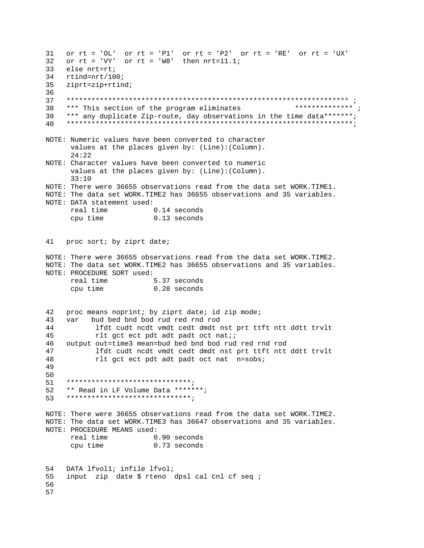31 or  $rt = 'OL'$  or  $rt = 'Pl'$  or  $rt = 'P2'$  or  $rt = 'RE'$  or  $rt = 'UX'$ or  $rt = 'VY'$  or  $rt = 'W8'$  then  $nrt=11.1$ ;  $32<sub>o</sub>$ 33 else nrt=rt; 34  $rtind = nrt/100$ ; 35  $ziprt=zip+rtind;$ 36 37 \*\*\*\*\*\*\*\*\*\*\*\*\*\* ; 38 \*\*\* This section of the program eliminates \*\*\* any duplicate Zip-route, day observations in the time data\*\*\*\*\*\*\*; 39  $40$ NOTE: Numeric values have been converted to character values at the places given by: (Line): (Column).  $24:22$ NOTE: Character values have been converted to numeric values at the places given by: (Line): (Column).  $33:10$ NOTE: There were 36655 observations read from the data set WORK.TIME1. NOTE: The data set WORK.TIME2 has 36655 observations and 35 variables. NOTE: DATA statement used: real time  $0.14$  seconds  $0.13$  seconds cpu time 41 proc sort; by ziprt date; NOTE: There were 36655 observations read from the data set WORK.TIME2. NOTE: The data set WORK.TIME2 has 36655 observations and 35 variables. NOTE: PROCEDURE SORT used: real time 5.37 seconds cpu time  $0.28$  seconds proc means noprint; by ziprt date; id zip mode; 42 43 bud bed bnd bod rud red rnd rod var 44 lfdt cudt nedt vmdt cedt dmdt nst prt ttft ntt ddtt trvlt 45 rlt get ect pdt adt padt oct nat;; output out=time3 mean=bud bed bnd bod rud red rnd rod 46 47 lfdt cudt nedt vmdt cedt dmdt nst prt ttft ntt ddtt trvlt 48 rlt get eet pdt adt padt oct nat n=sobs; 49 50 \*\*\*\*\*\*\*\*\*\*\*\*\*\*\*\*\*\*\*\*\*\*\*\*\*\*\*\*\*\*\*  $51$ \*\* Read in LF Volume Data \*\*\*\*\*\*\*;  $52$ 53 \*\*\*\*\*\*\*\*\*\*\*\*\*\*\*\*\*\*\*\*\*\*\*\*\*\*\*\*\*\*\* NOTE: There were 36655 observations read from the data set WORK.TIME2. NOTE: The data set WORK. TIME3 has 36647 observations and 35 variables. NOTE: PROCEDURE MEANS used: real time 0.90 seconds cpu time 0.73 seconds 54 DATA lfvol1; infile lfvol; 55 input zip date \$ rteno dpsl cal cnl cf seq ; 56 57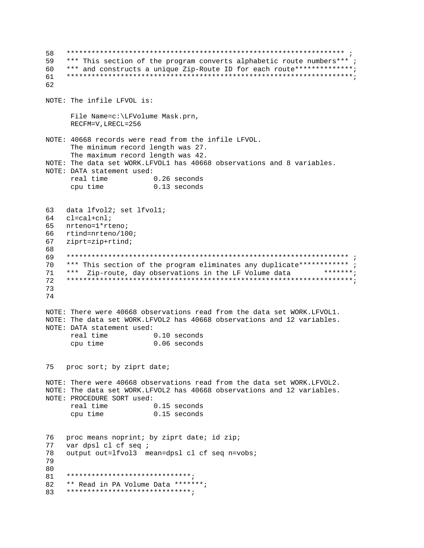58 \*\*\* This section of the program converts alphabetic route numbers\*\*\*; 59 60 \*\*\* and constructs a unique Zip-Route ID for each route\*\*\*\*\*\*\*\*\*\*\*\*\*\*; 61 62 NOTE: The infile LFVOL is: File Name=c:\LFVolume Mask.prn, RECFM=V, LRECL=256 NOTE: 40668 records were read from the infile LFVOL. The minimum record length was 27. The maximum record length was 42. NOTE: The data set WORK.LFVOL1 has 40668 observations and 8 variables. NOTE: DATA statement used: real time  $0.26$  seconds cpu time  $0.13$  seconds data lfvol2; set lfvol1; 63 64  $cl=cal+cn1$ ; 65 nrteno=1\*rteno; 66 rtind=nrteno/100; 67 ziprt=zip+rtind; 68 69 \*\*\* This section of the program eliminates any duplicate\*\*\*\*\*\*\*\*\*\*\*\* ; 70  $71$ \*\*\* Zip-route, day observations in the LF Volume data \*\*\*\*\*\*\* ; 72 73 74 NOTE: There were 40668 observations read from the data set WORK.LFVOL1. NOTE: The data set WORK.LFVOL2 has 40668 observations and 12 variables. NOTE: DATA statement used: real time  $0.10$  seconds 0.06 seconds cpu time 75 proc sort; by ziprt date; NOTE: There were 40668 observations read from the data set WORK.LFVOL2. NOTE: The data set WORK.LFVOL2 has 40668 observations and 12 variables. NOTE: PROCEDURE SORT used: real time  $0.15$  seconds 0.15 seconds cpu time 76 proc means noprint; by ziprt date; id zip; 77 var dpsl cl cf seq ; 78 output out=lfvol3 mean=dpsl cl cf seq n=vobs; 79 80 81 \*\*\*\*\*\*\*\*\*\*\*\*\*\*\*\*\*\*\*\*\*\*\*\*\*\*\*\*\*\*\* 82 \*\* Read in PA Volume Data \*\*\*\*\*\*\*; \*\*\*\*\*\*\*\*\*\*\*\*\*\*\*\*\*\*\*\*\*\*\*\*\*\*\*\*\*\*\* 83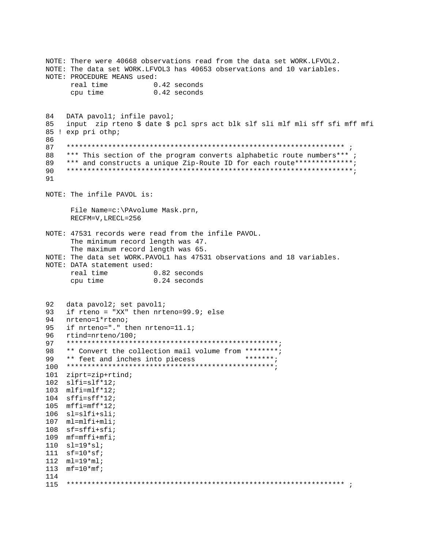NOTE: There were 40668 observations read from the data set WORK.LFVOL2. NOTE: The data set WORK.LFVOL3 has 40653 observations and 10 variables. NOTE: PROCEDURE MEANS used: real time  $0.42$  seconds cpu time 0.42 seconds 84 DATA pavol1; infile pavol; 85 input zip rteno \$ date \$ pcl sprs act blk slf sli mlf mli sff sfi mff mfi 85 ! exp pri othp;  $86$ 87 88 \*\*\* This section of the program converts alphabetic route numbers\*\*\* ; \*\*\* and constructs a unique Zip-Route ID for each route\*\*\*\*\*\*\*\*\*\*\*\*\*\*; 89 90 91 NOTE: The infile PAVOL is: File Name=c:\PAvolume Mask.prn, RECFM=V, LRECL=256 NOTE: 47531 records were read from the infile PAVOL. The minimum record length was 47. The maximum record length was 65. NOTE: The data set WORK. PAVOL1 has 47531 observations and 18 variables. NOTE: DATA statement used: real time  $0.82$  seconds 0.24 seconds cpu time 92 data pavol2; set pavol1; 93 if rteno = "XX" then nrteno=99.9; else 94 nrteno=1\*rteno; if nrteno="." then nrteno=11.1;  $95$ 96 rtind=nrteno/100; 97 \*\* Convert the collection mail volume from \*\*\*\*\*\*\*\*; 98 \*\*\*\*\*\*\*; 99 \*\* feet and inches into piecess 101 ziprt=zip+rtind; 102  $slfi=slf*12;$ 103  $m1$ fi= $m1$ f\*12;  $104$  sffi=sff\*12; 105  $mffi=mff*12;$  $106$  sl=slfi+sli;  $107$   $ml=mlfimli;$  $108$  sf=sffi+sfi; 109  $mf=mffi+mfi$ ;  $110$   $sl=19*sl;$ 111  $sf=10*sf$ ; 112  $ml = 19*ml;$ 113  $mf = 10*mf;$ 114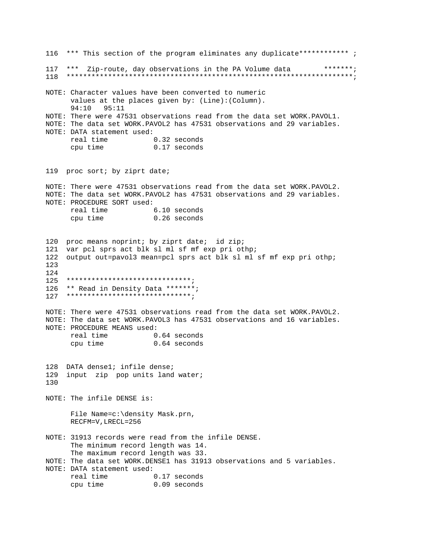116 \*\*\* This section of the program eliminates any duplicate\*\*\*\*\*\*\*\*\*\*\*\* ; 117 \*\*\* Zip-route, day observations in the PA Volume data \*\*\*\*\*\*\*; NOTE: Character values have been converted to numeric values at the places given by: (Line): (Column). 94:10 95:11 NOTE: There were 47531 observations read from the data set WORK. PAVOL1. NOTE: The data set WORK. PAVOL2 has 47531 observations and 29 variables. NOTE: DATA statement used: real time 0.32 seconds 0.17 seconds cpu time 119 proc sort; by ziprt date; NOTE: There were 47531 observations read from the data set WORK. PAVOL2. NOTE: The data set WORK. PAVOL2 has 47531 observations and 29 variables. NOTE: PROCEDURE SORT used: 6.10 seconds real time 0.26 seconds cpu time 120 proc means noprint; by ziprt date; id zip; 121 var pcl sprs act blk sl ml sf mf exp pri othp; 122 output out=pavol3 mean=pcl sprs act blk sl ml sf mf exp pri othp; 123  $12.4$  $125$  \*\*\*\*\*\*\*\*\*\*\*\*\*\*\*\*\*\*\*\*\*\*\*\*\*\*\*\*\*\*\* 126 \*\* Read in Density Data \*\*\*\*\*\*\*;  $127$  \*\*\*\*\*\*\*\*\*\*\*\*\*\*\*\*\*\*\*\*\*\*\*\*\*\*\*\*\*\*\*\*\* NOTE: There were 47531 observations read from the data set WORK.PAVOL2. NOTE: The data set WORK. PAVOL3 has 47531 observations and 16 variables. NOTE: PROCEDURE MEANS used: real time 0.64 seconds 0.64 seconds cpu time 128 DATA dense1; infile dense; 129 input zip pop units land water; 130 NOTE: The infile DENSE is: File Name=c:\density Mask.prn, RECFM=V, LRECL=256 NOTE: 31913 records were read from the infile DENSE. The minimum record length was 14. The maximum record length was 33. NOTE: The data set WORK. DENSE1 has 31913 observations and 5 variables. NOTE: DATA statement used: real time 0.17 seconds cpu time  $0.09$  seconds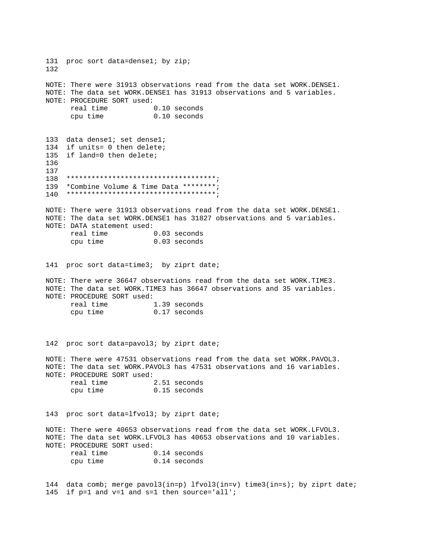131 proc sort data=dense1; by zip; 132 NOTE: There were 31913 observations read from the data set WORK.DENSE1. NOTE: The data set WORK.DENSE1 has 31913 observations and 5 variables. NOTE: PROCEDURE SORT used: real time 0.10 seconds cpu time 0.10 seconds 133 data dense1; set dense1; 134 if units= 0 then delete; 135 if land=0 then delete; 136 137 138 \*\*\*\*\*\*\*\*\*\*\*\*\*\*\*\*\*\*\*\*\*\*\*\*\*\*\*\*\*\*\*\*\*\*\*\*; 139 \*Combine Volume & Time Data \*\*\*\*\*\*\*\*; 140 \*\*\*\*\*\*\*\*\*\*\*\*\*\*\*\*\*\*\*\*\*\*\*\*\*\*\*\*\*\*\*\*\*\*\*\*; NOTE: There were 31913 observations read from the data set WORK.DENSE1. NOTE: The data set WORK.DENSE1 has 31827 observations and 5 variables. NOTE: DATA statement used: real time 0.03 seconds cpu time 0.03 seconds 141 proc sort data=time3; by ziprt date; NOTE: There were 36647 observations read from the data set WORK.TIME3. NOTE: The data set WORK.TIME3 has 36647 observations and 35 variables. NOTE: PROCEDURE SORT used: real time 1.39 seconds cpu time 0.17 seconds 142 proc sort data=pavol3; by ziprt date; NOTE: There were 47531 observations read from the data set WORK.PAVOL3. NOTE: The data set WORK.PAVOL3 has 47531 observations and 16 variables. NOTE: PROCEDURE SORT used: real time 2.51 seconds cpu time 0.15 seconds 143 proc sort data=lfvol3; by ziprt date; NOTE: There were 40653 observations read from the data set WORK.LFVOL3. NOTE: The data set WORK.LFVOL3 has 40653 observations and 10 variables. NOTE: PROCEDURE SORT used: real time 0.14 seconds cpu time 0.14 seconds 144 data comb; merge pavol3(in=p) lfvol3(in=v) time3(in=s); by ziprt date;

145 if p=1 and v=1 and s=1 then source='all';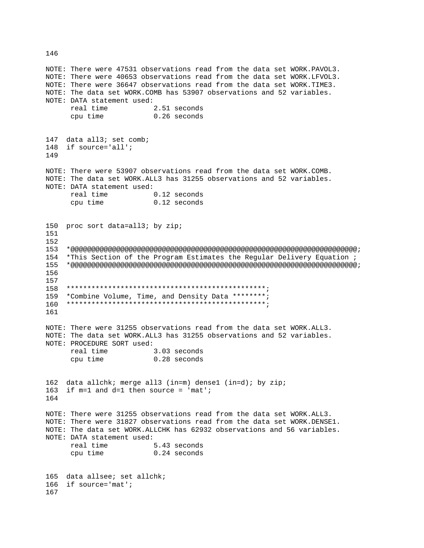NOTE: There were 47531 observations read from the data set WORK. PAVOL3. NOTE: There were 40653 observations read from the data set WORK.LFVOL3. NOTE: There were 36647 observations read from the data set WORK.TIME3. NOTE: The data set WORK.COMB has 53907 observations and 52 variables. NOTE: DATA statement used: real time 2.51 seconds 0.26 seconds cpu time 147 data all3; set comb; 148 if source='all'; 149 NOTE: There were 53907 observations read from the data set WORK.COMB. NOTE: The data set WORK.ALL3 has 31255 observations and 52 variables. NOTE: DATA statement used:  $0.12$  seconds real time cpu time  $0.12$  seconds 150 proc sort data=all3; by zip; 151 152 154 \*This Section of the Program Estimates the Regular Delivery Equation ; 156 157 158 \*Combine Volume, Time, and Density Data \*\*\*\*\*\*\*\*;  $159$ 161 NOTE: There were 31255 observations read from the data set WORK.ALL3. NOTE: The data set WORK.ALL3 has 31255 observations and 52 variables. NOTE: PROCEDURE SORT used: real time 3.03 seconds cpu time  $0.28$  seconds 162 data allchk; merge all3 (in=m) dense1 (in=d); by zip; 163 if  $m=1$  and  $d=1$  then source = 'mat'; 164 NOTE: There were 31255 observations read from the data set WORK.ALL3. NOTE: There were 31827 observations read from the data set WORK.DENSE1. NOTE: The data set WORK. ALLCHK has 62932 observations and 56 variables. NOTE: DATA statement used: real time 5.43 seconds cpu time 0.24 seconds 165 data allsee; set allchk; 166 if source='mat'; 167

146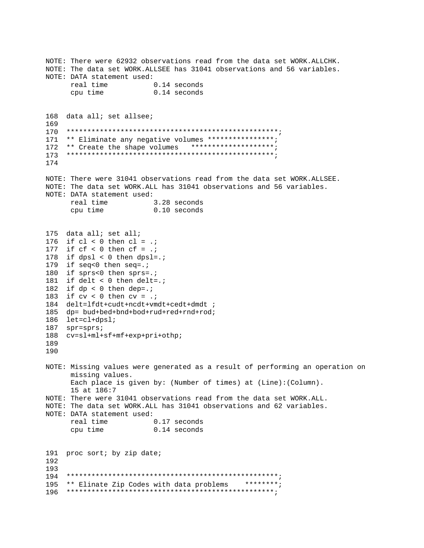NOTE: There were 62932 observations read from the data set WORK.ALLCHK. NOTE: The data set WORK. ALLSEE has 31041 observations and 56 variables. NOTE: DATA statement used: real time  $0.14$  seconds cpu time  $0.14$  seconds 168 data all; set allsee; 169 171 \*\* Eliminate any negative volumes \*\*\*\*\*\*\*\*\*\*\*\*\*\*\*\*; 172 \*\* Create the shape volumes \*\*\*\*\*\*\*\*\*\*\*\*\*\*\*\*\*\*\*\*; 174 NOTE: There were 31041 observations read from the data set WORK.ALLSEE. NOTE: The data set WORK.ALL has 31041 observations and 56 variables. NOTE: DATA statement used: real time 3.28 seconds  $0.10$  seconds cpu time 175 data all; set all; 176 if  $cl < 0$  then  $cl = .$ ; 177 if  $cf < 0$  then  $cf = .$ ; 178 if  $dpsi < 0$  then  $dpsi = i$ 179 if seq<0 then seq=.; 180 if sprs<0 then sprs=.: 181 if delt < 0 then delt=.; 182 if  $dp < 0$  then dep=.; 183 if  $cv < 0$  then  $cv = .$ ; 184 delt=lfdt+cudt+ncdt+vmdt+cedt+dmdt ; 185 dp= bud+bed+bnd+bod+rud+red+rnd+rod; 186 let=cl+dpsl; 187 spr=sprs; 188 cv=sl+ml+sf+mf+exp+pri+othp; 189 190 NOTE: Missing values were generated as a result of performing an operation on missing values. Each place is given by: (Number of times) at  $(Line)$ : (Column). 15 at 186:7 NOTE: There were 31041 observations read from the data set WORK.ALL. NOTE: The data set WORK.ALL has 31041 observations and 62 variables. NOTE: DATA statement used: real time 0.17 seconds cpu time  $0.14$  seconds 191 proc sort; by zip date; 192 193 195 \*\* Elinate Zip Codes with data problems \*\*\*\*\*\*\*\*;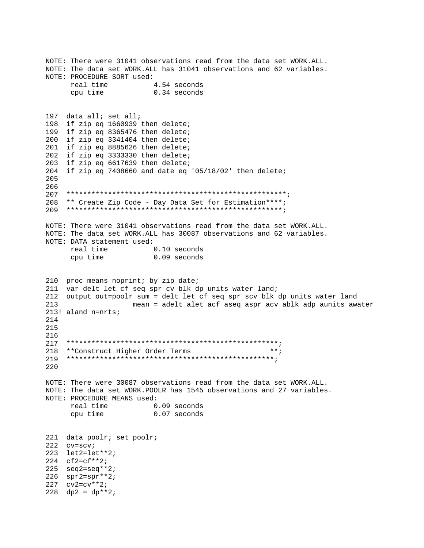NOTE: There were 31041 observations read from the data set WORK.ALL. NOTE: The data set WORK.ALL has 31041 observations and 62 variables. NOTE: PROCEDURE SORT used: real time 4.54 seconds cpu time 0.34 seconds 197 data all; set all; 198 if zip eq 1660939 then delete; 199 if zip eq 8365476 then delete; 200 if zip eq 3341404 then delete; 201 if zip eq 8885626 then delete; 202 if zip eq 3333330 then delete; 203 if zip eq 6617639 then delete; 204 if zip eq 7408660 and date eq '05/18/02' then delete; 205 206  $207$ 208 \*\* Create Zip Code - Day Data Set for Estimation\*\*\*\*; NOTE: There were 31041 observations read from the data set WORK. ALL. NOTE: The data set WORK.ALL has 30087 observations and 62 variables. NOTE: DATA statement used: real time 0.10 seconds cpu time 0.09 seconds 210 proc means noprint; by zip date; 211 var delt let cf seq spr cv blk dp units water land; 212 output out=poolr sum = delt let cf seq spr scv blk dp units water land 213 mean = adelt alet acf aseq aspr acv ablk adp aunits awater 213! aland n=nrts; 214  $215$ 216 217 218 \*\*Construct Higher Order Terms  $***$ 219 220 NOTE: There were 30087 observations read from the data set WORK. ALL. NOTE: The data set WORK. POOLR has 1545 observations and 27 variables. NOTE: PROCEDURE MEANS used: real time 0.09 seconds 0.07 seconds cpu time 221 data poolr; set poolr; 222 cv=scv; 223 let2=let\*\*2; 224  $cf2=cf**2;$ 225  $seq2 = seq*2$ ;  $226$  spr2=spr\*\*2;  $227$   $cv2=cv**2;$  $228$  dp2 = dp\*\*2;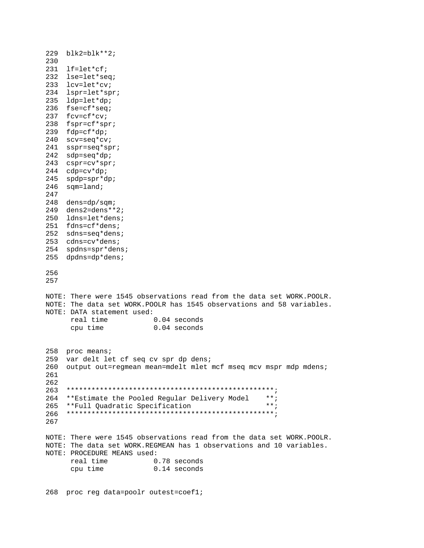229 blk2=blk\*\*2; 230 231 lf=let\*cf; 232 lse=let\*seq; 233 lcv=let\*cv; 234 lspr=let\*spr; 235 ldp=let\*dp; 236 fse=cf\*seq; 237 fcv=cf\*cv; 238 fspr=cf\*spr; 239 fdp=cf\*dp; 240 scv=seq\*cv; 241 sspr=seq\*spr; 242 sdp=seq\*dp; 243 cspr=cv\*spr; 244 cdp=cv\*dp; 245 spdp=spr\*dp; 246 sqm=land; 247 248 dens=dp/sqm; 249 dens2=dens\*\*2; 250 ldns=let\*dens; 251 fdns=cf\*dens; 252 sdns=seq\*dens; 253 cdns=cv\*dens; 254 spdns=spr\*dens; 255 dpdns=dp\*dens; 256 257 NOTE: There were 1545 observations read from the data set WORK.POOLR. NOTE: The data set WORK.POOLR has 1545 observations and 58 variables. NOTE: DATA statement used: real time 0.04 seconds cpu time 0.04 seconds 258 proc means; 259 var delt let cf seq cv spr dp dens; 260 output out=regmean mean=mdelt mlet mcf mseq mcv mspr mdp mdens; 261 262 263 \*\*\*\*\*\*\*\*\*\*\*\*\*\*\*\*\*\*\*\*\*\*\*\*\*\*\*\*\*\*\*\*\*\*\*\*\*\*\*\*\*\*\*\*\*\*\*\*\*\*; 264 \*\*Estimate the Pooled Regular Delivery Model \*\*; 265 \*\*Full Quadratic Specification \*\*; 266 \*\*\*\*\*\*\*\*\*\*\*\*\*\*\*\*\*\*\*\*\*\*\*\*\*\*\*\*\*\*\*\*\*\*\*\*\*\*\*\*\*\*\*\*\*\*\*\*\*\*; 267 NOTE: There were 1545 observations read from the data set WORK.POOLR. NOTE: The data set WORK.REGMEAN has 1 observations and 10 variables. NOTE: PROCEDURE MEANS used: real time 0.78 seconds cpu time 0.14 seconds

268 proc reg data=poolr outest=coef1;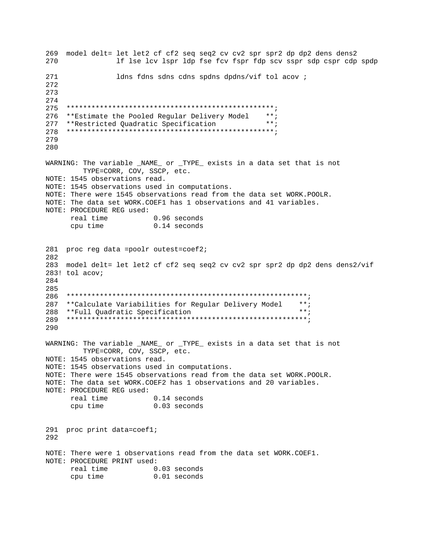269 model delt= let let2 cf cf2 seq seq2 cv cv2 spr spr2 dp dp2 dens dens2 270 If lse lcv lspr ldp fse fcv fspr fdp scv sspr sdp cspr cdp spdp 271 ldns fdns sdns cdns spdns dpdns/vif tol acov ; 272 273 274 275 276 \*\* Estimate the Pooled Regular Delivery Model  $***$ :  $***;$ 277 \*\*Restricted Ouadratic Specification 278 279 280 WARNING: The variable \_NAME\_ or \_TYPE\_ exists in a data set that is not TYPE=CORR, COV, SSCP, etc. NOTE: 1545 observations read. NOTE: 1545 observations used in computations. NOTE: There were 1545 observations read from the data set WORK. POOLR. NOTE: The data set WORK. COEF1 has 1 observations and 41 variables. NOTE: PROCEDURE REG used: 0.96 seconds real time  $0.14$  seconds cpu time 281 proc reg data =poolr outest=coef2; 282 283 model delt= let let2 cf cf2 seq seq2 cv cv2 spr spr2 dp dp2 dens dens2/vif 283! tol acov;  $284$ 285 286 \*\*Calculate Variabilities for Regular Delivery Model  $***;$ 287 288 \*\*Full Quadratic Specification  $***$  ; 290 WARNING: The variable \_NAME\_ or \_TYPE\_ exists in a data set that is not TYPE=CORR, COV, SSCP, etc. NOTE: 1545 observations read. NOTE: 1545 observations used in computations. NOTE: There were 1545 observations read from the data set WORK. POOLR. NOTE: The data set WORK. COEF2 has 1 observations and 20 variables. NOTE: PROCEDURE REG used:  $0.14$  seconds real time  $0.03$  seconds cpu time 291 proc print data=coef1; 292 NOTE: There were 1 observations read from the data set WORK.COEF1. NOTE: PROCEDURE PRINT used: real time  $0.03$  seconds<br>cpu time  $0.01$  seconds cpu time  $0.01$  seconds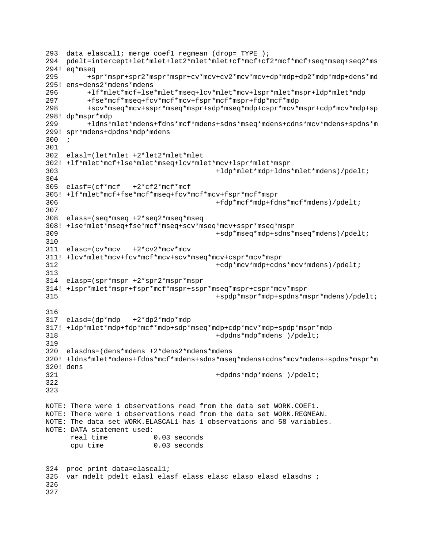```
293 data elascal1; merge coef1 regmean (drop=_TYPE_); 
294 pdelt=intercept+let*mlet+let2*mlet*mlet+cf*mcf+cf2*mcf*mcf+seq*mseq+seq2*ms 
294! eq*mseq 
295 +spr*mspr+spr2*mspr*mspr+cv*mcv+cv2*mcv*mcv+dp*mdp+dp2*mdp*mdp+dens*md 
295! ens+dens2*mdens*mdens 
296 +lf*mlet*mcf+lse*mlet*mseq+lcv*mlet*mcv+lspr*mlet*mspr+ldp*mlet*mdp 
297 +fse*mcf*mseq+fcv*mcf*mcv+fspr*mcf*mspr+fdp*mcf*mdp 
298 +scv*mseq*mcv+sspr*mseq*mspr+sdp*mseq*mdp+cspr*mcv*mspr+cdp*mcv*mdp+sp 
298! dp*mspr*mdp 
299 +ldns*mlet*mdens+fdns*mcf*mdens+sdns*mseq*mdens+cdns*mcv*mdens+spdns*m 
299! spr*mdens+dpdns*mdp*mdens 
300 ; 
301 
302 elasl=(let*mlet +2*let2*mlet*mlet 
302! +lf*mlet*mcf+lse*mlet*mseq+lcv*mlet*mcv+lspr*mlet*mspr 
303 +ldp*mlet*mdp+ldns*mlet*mdens)/pdelt; 
304 
305 elasf=(cf*mcf +2*cf2*mcf*mcf 
305! +lf*mlet*mcf+fse*mcf*mseq+fcv*mcf*mcv+fspr*mcf*mspr 
306 +fdp*mcf*mdp+fdns*mcf*mdens)/pdelt; 
307 
308 elass=(seq*mseq +2*seq2*mseq*mseq 
308! +lse*mlet*mseq+fse*mcf*mseq+scv*mseq*mcv+sspr*mseq*mspr 
309 +sdp*mseq*mdp+sdns*mseq*mdens)/pdelt; 
310 
311 elasc=(cv*mcv +2*cv2*mcv*mcv 
311! +lcv*mlet*mcv+fcv*mcf*mcv+scv*mseq*mcv+cspr*mcv*mspr 
312 +cdp*mcv*mdp+cdns*mcv*mdens)/pdelt; 
313 
314 elasp=(spr*mspr +2*spr2*mspr*mspr 
314! +lspr*mlet*mspr+fspr*mcf*mspr+sspr*mseq*mspr+cspr*mcv*mspr 
315 +spdp*mspr*mdp+spdns*mspr*mdens)/pdelt; 
316 
317 elasd=(dp*mdp +2*dp2*mdp*mdp 
317! +ldp*mlet*mdp+fdp*mcf*mdp+sdp*mseq*mdp+cdp*mcv*mdp+spdp*mspr*mdp 
318 +dpdns*mdp*mdens )/pdelt; 
319 
320 elasdns=(dens*mdens +2*dens2*mdens*mdens 
320! +ldns*mlet*mdens+fdns*mcf*mdens+sdns*mseq*mdens+cdns*mcv*mdens+spdns*mspr*m 
320! dens 
321 +dpdns*mdp*mdens )/pdelt; 
322 
323 
NOTE: There were 1 observations read from the data set WORK.COEF1. 
NOTE: There were 1 observations read from the data set WORK.REGMEAN. 
NOTE: The data set WORK.ELASCAL1 has 1 observations and 58 variables. 
NOTE: DATA statement used: 
      real time 0.03 seconds 
      cpu time 0.03 seconds 
324 proc print data=elascal1; 
325 var mdelt pdelt elasl elasf elass elasc elasp elasd elasdns ; 
326 
327
```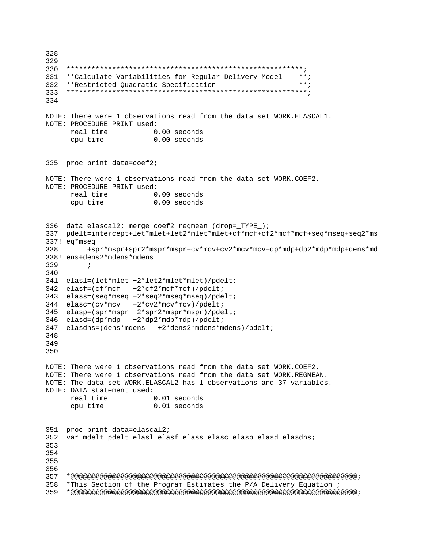```
328
329330
331
    **Calculate Variabilities for Regular Delivery Model
                                                  ***332 **Restricted Quadratic Specification
                                                  ***334
NOTE: There were 1 observations read from the data set WORK. ELASCAL1.
NOTE: PROCEDURE PRINT used:
    real time
                     0.00 seconds
                    0.00 seconds
     cpu time
335 proc print data=coef2;
NOTE: There were 1 observations read from the data set WORK.COEF2.
NOTE: PROCEDURE PRINT used:
    real time 0.00 seconds
    cpu time
                    0.00 seconds
336 data elascal2; merge coef2 regmean (drop=_TYPE_);
337 pdelt=intercept+let*mlet+let2*mlet*mlet+cf*mcf+cf2*mcf*mcf+seq*mseq+seq2*ms
337! eq*mseq
338
       +spr*mspr+spr2*mspr*mspr+cv*mcv+cv2*mcv*mcv+dp*mdp+dp2*mdp*mdp+dens*md
338! ens+dens2*mdens*mdens
339
       \cdot:
340
341 elasl=(let*mlet +2*let2*mlet*mlet)/pdelt;
342 elasf=(cf*mcf +2*cf2*mcf*mcf)/pdelt;
343 elass=(seq*mseq +2*seq2*mseq*mseq)/pdelt;
344 elasc=(cv*mcv +2*cv2*mcv*mcv)/pdelt;
345 elasp=(spr*mspr +2*spr2*mspr*mspr)/pdelt;
346 elasd=(dp*mdp +2*dp2*mdp*mdp)/pdelt;
347 elasdns=(dens*mdens +2*dens2*mdens*mdens)/pdelt;
348
349
350
NOTE: There were 1 observations read from the data set WORK.COEF2.
NOTE: There were 1 observations read from the data set WORK.REGMEAN.
NOTE: The data set WORK. ELASCAL2 has 1 observations and 37 variables.
NOTE: DATA statement used:
     real time
                    0.01 seconds
                    0.01 seconds
    cpu time
351 proc print data=elascal2;
352 var mdelt pdelt elasl elasf elass elasc elasp elasd elasdns;
353
354
355
356
357
    358
    *This Section of the Program Estimates the P/A Delivery Equation ;
```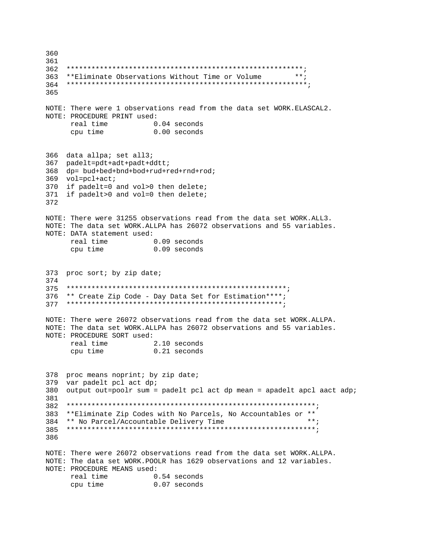360 361 362  $***;$ 363 \*\*Eliminate Observations Without Time or Volume 364 365 NOTE: There were 1 observations read from the data set WORK.ELASCAL2. NOTE: PROCEDURE PRINT used: real time 0.04 seconds cpu time  $0.00$  seconds 366 data allpa; set all3; 367 padelt=pdt+adt+padt+ddtt; 368 dp= bud+bed+bnd+bod+rud+red+rnd+rod; 369 vol=pcl+act; 370 if padelt=0 and vol>0 then delete; 371 if padelt>0 and vol=0 then delete; 372 NOTE: There were 31255 observations read from the data set WORK.ALL3. NOTE: The data set WORK.ALLPA has 26072 observations and 55 variables. NOTE: DATA statement used: real time 0.09 seconds 0.09 seconds cpu time 373 proc sort; by zip date; 374 375 376 \*\* Create Zip Code - Day Data Set for Estimation\*\*\*\*; NOTE: There were 26072 observations read from the data set WORK. ALLPA. NOTE: The data set WORK. ALLPA has 26072 observations and 55 variables. NOTE: PROCEDURE SORT used: 2.10 seconds real time cpu time 0.21 seconds 378 proc means noprint; by zip date; 379 var padelt pcl act dp; 380 output out=poolr sum = padelt pcl act dp mean = apadelt apcl aact adp; 381 382 383 \*\*Eliminate Zip Codes with No Parcels, No Accountables or \*\*  $***$ 384 \*\* No Parcel/Accountable Delivery Time 386 NOTE: There were 26072 observations read from the data set WORK. ALLPA. NOTE: The data set WORK. POOLR has 1629 observations and 12 variables. NOTE: PROCEDURE MEANS used: real time 0.54 seconds cpu time 0.07 seconds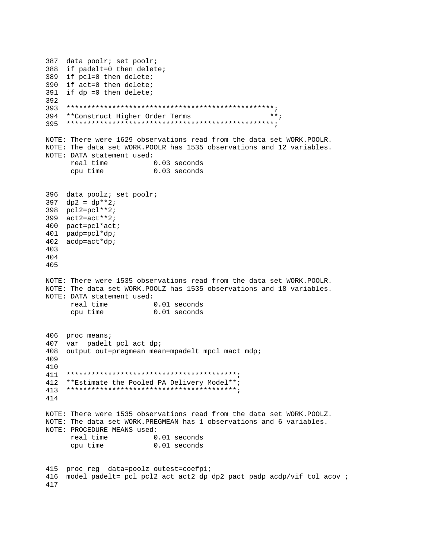387 data poolr; set poolr; 388 if padelt=0 then delete; 389 if pcl=0 then delete; 390 if act=0 then delete; 391 if  $dp = 0$  then delete; 392 393  $***;$ 394 \*\*Construct Higher Order Terms NOTE: There were 1629 observations read from the data set WORK. POOLR. NOTE: The data set WORK. POOLR has 1535 observations and 12 variables. NOTE: DATA statement used: real time 0.03 seconds 0.03 seconds cpu time 396 data poolz; set poolr;  $397 \text{ dp2} = dp^{**}2i$ 398 pcl2=pcl\*\*2; 399 act2=act\*\*2; 400 pact=pcl\*act; 401 padp=pcl\*dp; 402 acdp=act\*dp; 403 404 405 NOTE: There were 1535 observations read from the data set WORK. POOLR. NOTE: The data set WORK. POOLZ has 1535 observations and 18 variables. NOTE: DATA statement used: real time 0.01 seconds cpu time  $0.01$  seconds 406 proc means; var padelt pcl act dp; 407 408 output out=pregmean mean=mpadelt mpcl mact mdp; 409 410 411 412 \*\* Estimate the Pooled PA Delivery Model\*\*; 414 NOTE: There were 1535 observations read from the data set WORK. POOLZ. NOTE: The data set WORK. PREGMEAN has 1 observations and 6 variables. NOTE: PROCEDURE MEANS used: real time 0.01 seconds  $0.01$  seconds cpu time 415 proc req data=poolz outest=coefp1; 416 model padelt= pcl pcl2 act act2 dp dp2 pact padp acdp/vif tol acov ; 417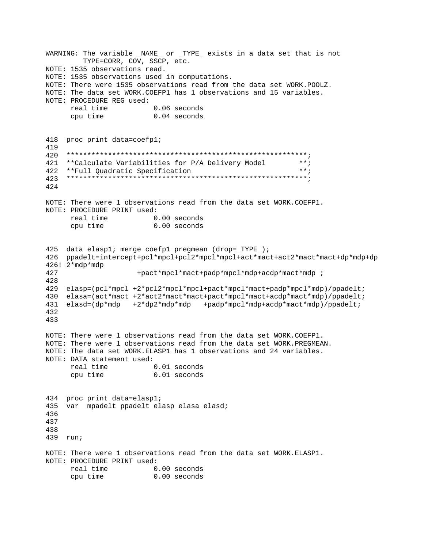WARNING: The variable \_NAME\_ or \_TYPE\_ exists in a data set that is not TYPE=CORR, COV, SSCP, etc. NOTE: 1535 observations read. NOTE: 1535 observations used in computations. NOTE: There were 1535 observations read from the data set WORK. POOLZ. NOTE: The data set WORK. COEFP1 has 1 observations and 15 variables. NOTE: PROCEDURE REG used: real time  $0.06$  seconds 0.04 seconds cpu time 418 proc print data=coefp1; 419 420 421 \*\*Calculate Variabilities for P/A Delivery Model  $***;$  $***$ ; \*\*Full Quadratic Specification 422 424 NOTE: There were 1 observations read from the data set WORK.COEFP1. NOTE: PROCEDURE PRINT used: real time  $0.00$  seconds  $0.00$  seconds cpu time 425 data elaspl; merge coefpl pregmean (drop=\_TYPE\_); 426 ppadelt=intercept+pcl\*mpcl+pcl2\*mpcl\*mpcl+act\*mact+act2\*mact\*mact+dp\*mdp+dp  $426!$   $2*$ mdp\*mdp 427 +pact\*mpcl\*mact+padp\*mpcl\*mdp+acdp\*mact\*mdp ; 428 429 elasp=(pcl\*mpcl +2\*pcl2\*mpcl\*mpcl+pact\*mpcl\*mact+padp\*mpcl\*mdp)/ppadelt; 430 elasa=(act\*mact +2\*act2\*mact\*mact+pact\*mpcl\*mact+acdp\*mact\*mdp)/ppadelt; 431 elasd=(dp\*mdp +2\*dp2\*mdp\*mdp +padp\*mpcl\*mdp+acdp\*mact\*mdp)/ppadelt; 432 433 NOTE: There were 1 observations read from the data set WORK.COEFP1. NOTE: There were 1 observations read from the data set WORK. PREGMEAN. NOTE: The data set WORK.ELASP1 has 1 observations and 24 variables. NOTE: DATA statement used: real time 0.01 seconds 0.01 seconds cpu time 434 proc print data=elasp1; 435 var mpadelt ppadelt elasp elasa elasd; 436 437 438 439 run; NOTE: There were 1 observations read from the data set WORK.ELASP1. NOTE: PROCEDURE PRINT used: real time 0.00 seconds cpu time  $0.00$  seconds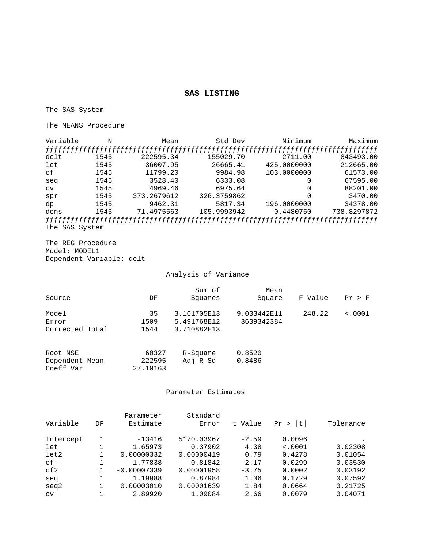### **SAS LISTING**

The SAS System

The MEANS Procedure

| Variable       | N    | Mean        | Std Dev     | Minimum     | Maximum     |
|----------------|------|-------------|-------------|-------------|-------------|
|                |      |             |             |             |             |
| delt           | 1545 | 222595.34   | 155029.70   | 2711.00     | 843493.00   |
| let            | 1545 | 36007.95    | 26665.41    | 425,0000000 | 212665.00   |
| сf             | 1545 | 11799.20    | 9984.98     | 103.0000000 | 61573.00    |
| seq            | 1545 | 3528.40     | 6333.08     |             | 67595.00    |
| <b>CV</b>      | 1545 | 4969.46     | 6975.64     |             | 88201.00    |
| spr            | 1545 | 373.2679612 | 326.3759862 |             | 3470.00     |
| dp             | 1545 | 9462.31     | 5817.34     | 196.0000000 | 34378.00    |
| dens           | 1545 | 71.4975563  | 105.9993942 | 0.4480750   | 738.8297872 |
|                |      |             |             |             |             |
| The SAS System |      |             |             |             |             |

The REG Procedure Model: MODEL1 Dependent Variable: delt

### Analysis of Variance

| Source                                  | DF                          | Sum of<br>Squares                         | Mean<br>Square            | F Value | Pr > F  |
|-----------------------------------------|-----------------------------|-------------------------------------------|---------------------------|---------|---------|
| Model<br>Error<br>Corrected Total       | 35<br>1509<br>1544          | 3.161705E13<br>5.491768E12<br>3.710882E13 | 9.033442E11<br>3639342384 | 248.22  | < .0001 |
| Root MSE<br>Dependent Mean<br>Coeff Var | 60327<br>222595<br>27.10163 | R-Square<br>Adj R-Sq                      | 0.8520<br>0.8486          |         |         |

### Parameter Estimates

|           |    | Parameter     | Standard   |         |                   |           |
|-----------|----|---------------|------------|---------|-------------------|-----------|
| Variable  | DF | Estimate      | Error      | t Value | t<br>Pr<br>$\geq$ | Tolerance |
| Intercept |    | $-13416$      | 5170.03967 | $-2.59$ | 0.0096            | $\bullet$ |
| let       |    | 1.65973       | 0.37902    | 4.38    | < .0001           | 0.02308   |
| let2      |    | 0.00000332    | 0.00000419 | 0.79    | 0.4278            | 0.01054   |
| сf        |    | 1.77838       | 0.81842    | 2.17    | 0.0299            | 0.03530   |
| cf2       |    | $-0.00007339$ | 0.00001958 | $-3.75$ | 0.0002            | 0.03192   |
| seq       |    | 1.19988       | 0.87984    | 1.36    | 0.1729            | 0.07592   |
| seq2      |    | 0.00003010    | 0.00001639 | 1.84    | 0.0664            | 0.21725   |
| CV        |    | 2.89920       | 1.09084    | 2.66    | 0.0079            | 0.04071   |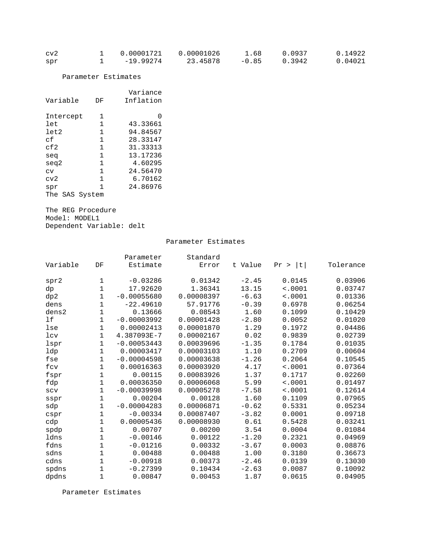| cv2 | 0.00001721 | 0.00001026 | 1.68    | 0.0937 | 0.14922 |
|-----|------------|------------|---------|--------|---------|
| spr | -19.99274  | 23.45878   | $-0.85$ | 0.3942 | 0.04021 |

Parameter Estimates

| Variable          | DF | Variance<br>Inflation |
|-------------------|----|-----------------------|
| Intercept         | 1  | $\left( \right)$      |
| let               | 1  | 43.33661              |
| let2              | 1  | 94.84567              |
| сf                | 1  | 28.33147              |
| $c0$ f $2$        | 1  | 31.33313              |
| seq               | 1  | 13.17236              |
| seg2              | 1  | 4.60295               |
| CV                | 1  | 24.56470              |
| cv2               | 1  | 6.70162               |
| spr               | 1  | 24.86976              |
| The<br>SAS System |    |                       |

The REG Procedure Model: MODEL1 Dependent Variable: delt

#### Parameter Estimates

|                   |              | Parameter     | Standard   |         |            |           |
|-------------------|--------------|---------------|------------|---------|------------|-----------|
| Variable          | DF           | Estimate      | Error      | t Value | Pr ><br> t | Tolerance |
|                   |              |               |            |         |            |           |
| spr2              | 1            | $-0.03286$    | 0.01342    | $-2.45$ | 0.0145     | 0.03906   |
| dp                | 1            | 17.92620      | 1.36341    | 13.15   | < .0001    | 0.03747   |
| dp2               | 1            | $-0.00055680$ | 0.00008397 | $-6.63$ | < .0001    | 0.01336   |
| dens              | $\mathbf 1$  | $-22.49610$   | 57.91776   | $-0.39$ | 0.6978     | 0.06254   |
| dens <sub>2</sub> | 1            | 0.13666       | 0.08543    | 1.60    | 0.1099     | 0.10429   |
| 1f                | 1            | $-0.00003992$ | 0.00001428 | $-2.80$ | 0.0052     | 0.01020   |
| lse               | 1            | 0.00002413    | 0.00001870 | 1.29    | 0.1972     | 0.04486   |
| 1 <sub>cv</sub>   | 1            | 4.387093E-7   | 0.00002167 | 0.02    | 0.9839     | 0.02739   |
| lspr              | 1            | $-0.00053443$ | 0.00039696 | $-1.35$ | 0.1784     | 0.01035   |
| ldp               | 1            | 0.00003417    | 0.00003103 | 1.10    | 0.2709     | 0.00604   |
| fse               | 1            | $-0.00004598$ | 0.00003638 | $-1.26$ | 0.2064     | 0.10545   |
| fcv               | 1            | 0.00016363    | 0.00003920 | 4.17    | < .0001    | 0.07364   |
| fspr              | 1            | 0.00115       | 0.00083926 | 1.37    | 0.1717     | 0.02260   |
| fdp               | 1            | 0.00036350    | 0.00006068 | 5.99    | < .0001    | 0.01497   |
| SCV               | 1            | $-0.00039998$ | 0.00005278 | $-7.58$ | < .0001    | 0.12614   |
| sspr              | 1            | 0.00204       | 0.00128    | 1.60    | 0.1109     | 0.07965   |
| sdp               | 1            | $-0.00004283$ | 0.00006871 | $-0.62$ | 0.5331     | 0.05234   |
| cspr              | 1            | $-0.00334$    | 0.00087407 | $-3.82$ | 0.0001     | 0.09718   |
| cdp               | $\mathbf 1$  | 0.00005436    | 0.00008930 | 0.61    | 0.5428     | 0.03241   |
| spdp              | $\mathbf 1$  | 0.00707       | 0.00200    | 3.54    | 0.0004     | 0.01084   |
| ldns              | $\mathbf{1}$ | $-0.00146$    | 0.00122    | $-1.20$ | 0.2321     | 0.04969   |
| fdns              | 1            | $-0.01216$    | 0.00332    | $-3.67$ | 0.0003     | 0.08876   |
| sdns              | 1            | 0.00488       | 0.00488    | 1.00    | 0.3180     | 0.36673   |
| cdns              | 1            | $-0.00918$    | 0.00373    | $-2.46$ | 0.0139     | 0.13030   |
| spdns             | 1            | $-0.27399$    | 0.10434    | $-2.63$ | 0.0087     | 0.10092   |
| dpdns             | 1            | 0.00847       | 0.00453    | 1.87    | 0.0615     | 0.04905   |

Parameter Estimates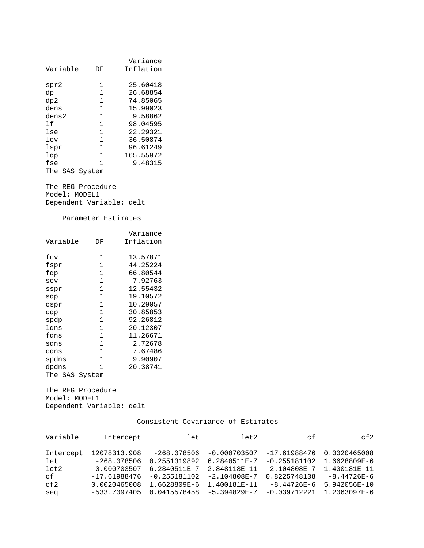| Variable       | DF           | Variance<br>Inflation |
|----------------|--------------|-----------------------|
| spr2           | 1            | 25.60418              |
| dp             | 1            | 26.68854              |
| dp2            | $\mathbf{1}$ | 74.85065              |
| dens           | 1            | 15.99023              |
| dens2          | 1            | 9.58862               |
| 1 f            | $\mathbf{1}$ | 98.04595              |
| lse            | 1            | 22.29321              |
| $1$ cv         | 1            | 36.50874              |
| lspr           | 1            | 96.61249              |
| ldp            | 1            | 165.55972             |
| fse            | 1            | 9.48315               |
| The SAS System |              |                       |

The REG Procedure Model: MODEL1 Dependent Variable: delt

Parameter Estimates

|                |              | Variance  |
|----------------|--------------|-----------|
| Variable       | DF           | Inflation |
|                |              |           |
| fcv            | 1            | 13.57871  |
| fspr           | 1            | 44.25224  |
| fdp            | 1            | 66.80544  |
| SCV            | 1            | 7.92763   |
| sspr           | $\mathbf{1}$ | 12.55432  |
| sdp            | $\mathbf{1}$ | 19.10572  |
| cspr           | 1            | 10.29057  |
| cdp            | 1            | 30.85853  |
| spdp           | $\mathbf{1}$ | 92.26812  |
| ldns           | $\mathbf{1}$ | 20.12307  |
| fdns           | $\mathbf{1}$ | 11.26671  |
| sdns           | $\mathbf{1}$ | 2.72678   |
| cdns           | $\mathbf{1}$ | 7.67486   |
| spdns          | $\mathbf{1}$ | 9.90907   |
| dpdns          | 1            | 20.38741  |
| The SAS System |              |           |

The REG Procedure Model: MODEL1 Dependent Variable: delt

| Variable  | Intercept      | let            | let2             | сf               | cf2             |
|-----------|----------------|----------------|------------------|------------------|-----------------|
|           |                |                |                  |                  |                 |
| Intercept | 12078313.908   | -268.078506    | $-0.000703507$   | $-17.61988476$   | 0.0020465008    |
| let       | $-268.078506$  | 0.2551319892   | 6.2840511E-7     | $-0.255181102$   | 1.6628809E-6    |
| let2      | $-0.000703507$ | 6.2840511E-7   | 2.848118E-11     | $-2.104808E - 7$ | 1.400181E-11    |
| cf        | $-17.61988476$ | $-0.255181102$ | $-2.104808E - 7$ | 0.8225748138     | $-8.44726E - 6$ |
| cf2       | 0.0020465008   | 1.6628809E-6   | 1.400181E-11     | $-8.44726E-6$    | 5.942056E-10    |
| seq       | $-533.7097405$ | 0.0415578458   | $-5.394829E - 7$ | $-0.039712221$   | 1,2063097E-6    |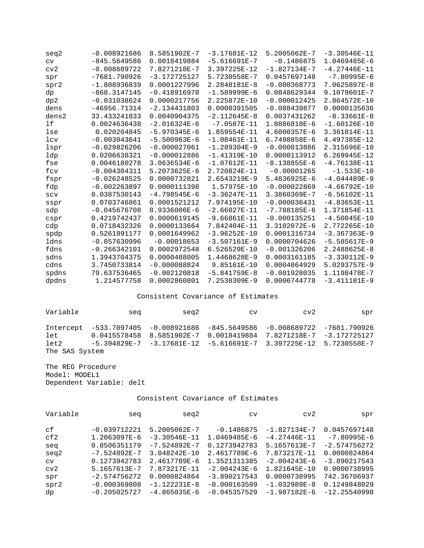| seq2            | $-0.008921686$ | 8.5851902E-7   | $-3.17681E - 12$ | 5.2005062E-7     | $-3.30546E - 11$ |
|-----------------|----------------|----------------|------------------|------------------|------------------|
| $\text{cv}$     | $-845.5649586$ | 0.0018419884   | $-5.616691E-7$   | $-0.1486875$     | 1.0469485E-6     |
| cv2             | $-0.008689722$ | 7.8271218E-7   | 3.397225E-12     | $-1.827134E-7$   | $-4.27446E - 11$ |
| spr             | $-7681.790926$ | $-3.172725127$ | 5.7230558E-7     | 0.0457697148     | $-7.80995E-6$    |
| spr2            | $-1.808936839$ | 0.0001227996   | 2.2848181E-8     | $-0.000368773$   | 7.0625897E-8     |
| dp              | $-868.3147145$ | $-0.418916978$ | $-1.589999E-6$   | 0.0848629344     | 9.1079601E-7     |
| dp2             | $-0.031038624$ | 0.0000217756   | 2.225872E-10     | $-0.000012425$   | 2.864572E-10     |
| dens            | $-46956.71314$ | $-2.134431803$ | 0.0000391505     | $-0.088439877$   | 0.0000135636     |
| dens2           | 33.433241833   | 0.0040904375   | $-2.112645E-8$   | 0.0037431262     | $-8.33661E-8$    |
| 1f              | 0.0024636438   | $-2.016324E-6$ | $-7.0587E - 11$  | 1.8886818E-6     | $-1.60126E-10$   |
| lse             | 0.020204845    | $-5.970345E-6$ | 1.859554E-11     | 4.6000357E-6     | 3.361814E-11     |
| 1 <sub>cv</sub> | $-0.003043641$ | $-5.500963E-6$ | $-1.08461E-11$   | 6.7498858E-6     | 4.497385E-12     |
| lspr            | $-0.029826206$ | $-0.000027061$ | $-1.289304E-9$   | $-0.000013886$   | 2.315696E-10     |
| ldp             | 0.0206638321   | $-0.000012886$ | $-1.41319E-10$   | 0.0000113912     | $6.269945E - 12$ |
| fse             | 0.0046180278   | 3.0636534E-6   | $-1.07612E-11$   | $-8.138855E-6$   | $-4.76138E - 11$ |
| fcv             | $-0.004304311$ | 5.2073625E-6   | 2.720824E-11     | $-0.00001265$    | $-1.533E-10$     |
| fspr            | $-0.026248525$ | 0.0000732821   | 2.6543219E-9     | $5.4836925E - 6$ | $-4.044489E-9$   |
| fdp             | $-0.002263897$ | 0.0000111398   | 1.57975E-10      | $-0.000022869$   | $-4.66792E-10$   |
| SCV             | 0.0387530143   | $-4.798545E-6$ | $-3.36247E - 11$ | 3.3860369E-7     | $-6.56102E-11$   |
| sspr            | 0.0703746861   | 0.0001521212   | 7.974195E-10     | $-0.000036431$   | $-4.83653E - 11$ |
| sdp             | $-0.045676708$ | 8.9336006E-6   | $-2.66027E - 11$ | $-7.788185E-6$   | 1.371854E-11     |
| cspr            | 0.4219742437   | 0.0000619145   | $-9.66861E-11$   | $-0.000135251$   | $-4.50845E-10$   |
| cdp             | 0.0718432326   | 0.0000133664   | 7.842404E-11     | 3.3102072E-6     | 2.772265E-10     |
| spdp            | 0.5261891177   | 0.0001649962   | $-3.96252E-10$   | 0.0001316734     | $-3.367363E-9$   |
| ldns            | $-0.057630996$ | $-0.00018653$  | $-3.507161E-9$   | 0.0000704626     | $-5.585617E-9$   |
| fdns            | $-0.266342101$ | 0.0002972548   | 6.526529E-10     | $-0.001326206$   | 2.2488625E-8     |
| sdns            | 1.3943704375   | 0.0000488005   | 1.4468628E-9     | 0.0003161185     | $-3.330112E-9$   |
| cdns            | 3.7450733814   | $-0.000088824$ | 9.85161E-10      | 0.0004864929     | 5.0293757E-9     |
| spdns           | 79.637536465   | $-0.002120818$ | $-5.841759E-8$   | $-0.001928035$   | 1.1198478E-7     |
| dpdns           | 1.214577758    | 0.0002860801   | 7.2538309E-9     | 0.0006744778     | $-3.411181E-9$   |
|                 |                |                |                  |                  |                  |

| Variable       | sea                                                                        | sea2 | CV | cv2 | spr |
|----------------|----------------------------------------------------------------------------|------|----|-----|-----|
|                | 1ntercept -533.7097405 -0.008921686 -845.5649586 -0.008689722 -7681.790926 |      |    |     |     |
| let            | $0.0415578458$ 8.5851902E-7 0.0018419884 7.8271218E-7 -3.172725127         |      |    |     |     |
| let2           | -5.394829E-7 -3.17681E-12 -5.616691E-7 3.397225E-12 5.7230558E-7           |      |    |     |     |
| The SAS System |                                                                            |      |    |     |     |

The REG Procedure Model: MODEL1 Dependent Variable: delt

| Variable  | seq              | seq2             | CV             | cv2              | spr            |
|-----------|------------------|------------------|----------------|------------------|----------------|
| сf        | $-0.039712221$   | 5.2005062E-7     | $-0.1486875$   | $-1.827134E - 7$ | 0.0457697148   |
| cf2       | 1.2063097E-6     | $-3.30546E - 11$ | 1.0469485E-6   | $-4.27446E - 11$ | $-7.80995E-6$  |
| seq       | 0.8506351179     | $-7.524892E - 7$ | 0.1273942783   | 5.1657613E-7     | $-2.574756272$ |
| seq2      | $-7.524892E - 7$ | 3.048242E-10     | 2.4617789E-6   | 7.873217E-11     | 0.0000824864   |
| <b>CV</b> | 0.1273942783     | 2.4617789E-6     | 1.3521311385   | $-2.004243E-6$   | $-3.890217543$ |
| cv2       | 5.1657613E-7     | 7.873217E-11     | $-2.004243E-6$ | 1.821645E-10     | 0.0000738995   |
| spr       | $-2.574756272$   | 0.0000824864     | $-3.890217543$ | 0.0000738995     | 742.36706937   |
| spr2      | $-0.000369808$   | $-1.122231E-8$   | $-0.000163509$ | $-1.032989E-8$   | 0.1249848029   |
| dp        | $-0.205025727$   | $-4.865035E-6$   | $-0.045357529$ | $-1.987182E-6$   | $-12.25540998$ |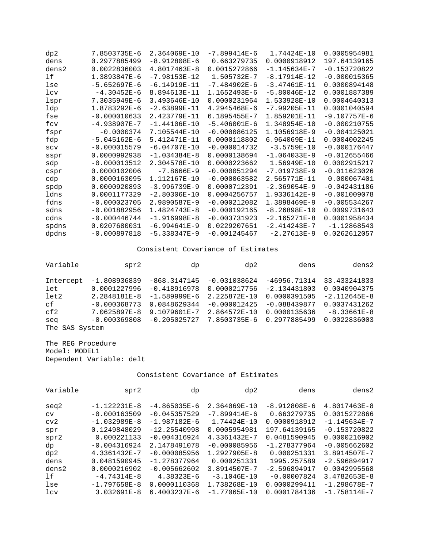| dp2   | 7.8503735E-6     | 2.364069E-10   | $-7.899414E-6$ | 1.74424E-10      | 0.0005954981   |
|-------|------------------|----------------|----------------|------------------|----------------|
| dens  | 0.2977885499     | $-8.912808E-6$ | 0.663279735    | 0.0000918912     | 197.64139165   |
| dens2 | 0.0022836003     | 4.8017463E-8   | 0.0015272866   | $-1.145634E-7$   | $-0.153720822$ |
| 1f    | 1.3893847E-6     | $-7.98153E-12$ | 1.505732E-7    | $-8.17914E-12$   | $-0.000015365$ |
| lse   | $-5.652697E-6$   | $-6.14919E-11$ | $-7.484902E-6$ | $-3.47461E-11$   | 0.0000894148   |
| 1cv   | $-4.30452E-6$    | 8.894613E-11   | 1.1652493E-6   | $-5.80046E-12$   | 0.0001887389   |
| lspr  | 7.3035949E-6     | 3.493646E-10   | 0.0000231964   | 1.533928E-10     | 0.0004640313   |
| ldp   | 1.8783292E-6     | $-2.63899E-11$ | 4.2945468E-6   | $-7.99205E - 11$ | 0.0001040594   |
| fse   | $-0.000010633$   | 2.423779E-11   | 6.1895455E-7   | 1.859201E-11     | $-9.107757E-6$ |
| fcv   | $-4.938907E - 7$ | $-1.44106E-10$ | $-5.406001E-6$ | 1.348954E-10     | $-0.000210755$ |
| fspr  | $-0.0000374$     | 7.105544E-10   | $-0.000086125$ | 1.1056918E-9     | $-0.004125021$ |
| fdp   | $-5.045162E-6$   | 5.412471E-11   | 0.0000118802   | 6.964069E-11     | 0.0004002245   |
| SCV   | $-0.000015579$   | $-6.04707E-10$ | $-0.000014732$ | $-3.5759E - 10$  | $-0.000176447$ |
| sspr  | 0.0000992938     | $-1.034384E-8$ | 0.0000138694   | $-1.064033E-9$   | $-0.012655466$ |
| sdp   | $-0.000013512$   | 2.304578E-10   | 0.0000223662   | 1.56949E-10      | 0.0002915217   |
| cspr  | 0.0000102006     | $-7.8666E-9$   | $-0.000051294$ | $-7.019738E-9$   | $-0.011623026$ |
| cdp   | 0.0000163095     | 1.112167E-10   | $-0.000063582$ | 2.565771E-11     | 0.000067401    |
| spdp  | 0.0000920893     | $-3.996739E-9$ | 0.0000712391   | $-2.369054E-9$   | $-0.042431186$ |
| ldns  | 0.0001177329     | $-2.80306E-10$ | 0.0004256757   | 1.9336142E-9     | -0.001009078   |
| fdns  | $-0.000023705$   | 2.9890587E-9   | $-0.000212082$ | 1.3898469E-9     | $-0.005534267$ |
| sdns  | $-0.001882956$   | 1.4824743E-8   | $-0.000192165$ | $-8.26898E-10$   | 0.0099731643   |
| cdns  | $-0.000446744$   | $-1.916998E-8$ | $-0.003731923$ | $-2.165271E-8$   | 0.0001958434   |
| spdns | 0.0207680031     | $-6.994641E-9$ | 0.0229207651   | $-2.414243E - 7$ | $-1.12868543$  |
| dpdns | $-0.000897818$   | $-5.338347E-9$ | $-0.001245467$ | $-2.27613E-9$    | 0.0262612057   |

| Variable       | spr2           | dp             | dp2            | dens           | dens2          |
|----------------|----------------|----------------|----------------|----------------|----------------|
| Intercept      | $-1.808936839$ | $-868.3147145$ | $-0.031038624$ | $-46956.71314$ | 33.433241833   |
| let            | 0.0001227996   | $-0.418916978$ | 0.0000217756   | $-2.134431803$ | 0.0040904375   |
| let2           | 2.2848181E-8   | $-1.589999E-6$ | 2.225872E-10   | 0.0000391505   | $-2.112645E-8$ |
| cf             | $-0.000368773$ | 0.0848629344   | $-0.000012425$ | $-0.088439877$ | 0.0037431262   |
| cf2            | 7.0625897E-8   | 9.1079601E-7   | 2.864572E-10   | 0.0000135636   | $-8.33661E-8$  |
| seq            | $-0.000369808$ | $-0.205025727$ | 7.8503735E-6   | 0.2977885499   | 0.0022836003   |
| The SAS System |                |                |                |                |                |

The REG Procedure Model: MODEL1 Dependent Variable: delt

| Variable | spr2             | dp               | dp2             | dens           | dens2            |
|----------|------------------|------------------|-----------------|----------------|------------------|
| seq2     | $-1.122231E-8$   | $-4.865035E - 6$ | 2.364069E-10    | $-8.912808E-6$ | 4.8017463E-8     |
| CV       | $-0.000163509$   | $-0.045357529$   | $-7.899414E-6$  | 0.663279735    | 0.0015272866     |
| cv2      | $-1.032989E - 8$ | $-1.987182E-6$   | 1.74424E-10     | 0.0000918912   | $-1.145634E - 7$ |
| spr      | 0.1249848029     | $-12.25540998$   | 0.0005954981    | 197.64139165   | $-0.153720822$   |
| spr2     | 0.000221133      | $-0.004316924$   | 4.3361432E-7    | 0.0481590945   | 0.0000216902     |
| dp       | $-0.004316924$   | 2.1478491078     | $-0.000085956$  | $-1.278377964$ | $-0.005662602$   |
| dp2      | 4.3361432E-7     | $-0.000085956$   | 1.2927905E-8    | 0.000251331    | 3.8914507E-7     |
| dens     | 0.0481590945     | $-1.278377964$   | 0.000251331     | 1995.257589    | $-2.596894917$   |
| dens2    | 0.0000216902     | $-0.005662602$   | 3.8914507E-7    | $-2.596894917$ | 0.0042995568     |
| lf       | $-4.74314E-8$    | $4.38323E-6$     | $-3.1046E - 10$ | $-0.00007824$  | 3.4782653E-8     |
| lse      | $-1.797658E - 8$ | 0.0000110368     | 1.738268E-10    | 0.0000299411   | $-1.298678E - 7$ |
| lcv      | $3.032691E - 8$  | 6.4003237E-6     | $-1.77065E-10$  | 0.0001784136   | $-1.758114E - 7$ |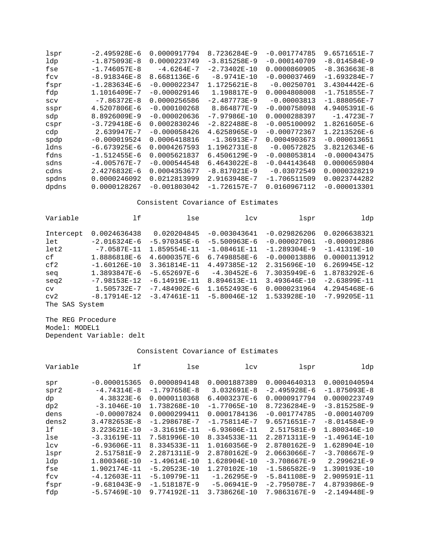| lspr  | $-2.495928E-6$   | 0.0000917794   | 8.7236284E-9     | $-0.001774785$ | 9.6571651E-7     |
|-------|------------------|----------------|------------------|----------------|------------------|
| ldp   | $-1.875093E - 8$ | 0.0000223749   | $-3.815258E-9$   | $-0.000140709$ | $-8.014584E-9$   |
| fse   | $-1.746057E-8$   | $-4.6264E-7$   | $-2.73402E - 10$ | 0.0000860905   | -8.363663E-8     |
| fcv   | $-8.918346E - 8$ | 8.6681136E-6   | $-8.9741E-10$    | -0.000037469   | $-1.693284E - 7$ |
| fspr  | $-1.283634E - 6$ | $-0.000022347$ | 1.1725621E-8     | $-0.00250701$  | 3.4304442E-6     |
| fdp   | 1.1016409E-7     | $-0.000029146$ | 1.198817E-9      | 0.0004808008   | $-1.751855E - 7$ |
| SCV   | $-7.86372E - 8$  | 0.0000256586   | $-2.487773E-9$   | $-0.00003813$  | $-1.888056E - 7$ |
| sspr  | 4.5207806E-6     | $-0.000100268$ | 8.864877E-9      | $-0.000758098$ | 4.9405391E-6     |
| sdp   | 8.8926009E-9     | $-0.000020636$ | $-7.97986E - 10$ | 0.0000288397   | $-1.4723E-7$     |
| cspr  | $-3.729418E-6$   | 0.0002830246   | $-2.822488E - 8$ | $-0.005100092$ | 1.8261605E-6     |
| cdp   | $2.639947E - 7$  | $-0.000058426$ | 4.6258965E-9     | $-0.000772367$ | 1.2213526E-6     |
| spdp  | $-0.000019524$   | 0.0006418816   | $-1.36913E - 7$  | 0.0004903673   | $-0.000013651$   |
| ldns  | $-6.673925E-6$   | 0.0004267593   | $1.1962731E - 8$ | $-0.00572825$  | 3.8212634E-6     |
| fdns  | $-1.512455E-6$   | 0.0005621837   | 6.4506129E-9     | $-0.008053814$ | $-0.000043475$   |
| sdns  | $-4.005767E - 7$ | $-0.000544548$ | $6.4643022E - 8$ | $-0.044143648$ | 0.0000659804     |
| cdns  | 2.4276832E-6     | 0.0004353677   | $-8.817021E-9$   | $-0.03072549$  | 0.0000328219     |
| spdns | 0.0000246092     | 0.0212813999   | 2.9163948E-7     | $-1.706511509$ | 0.0023744282     |
| dpdns | 0.0000128267     | $-0.001803042$ | $-1.726157E - 7$ | 0.0160967112   | $-0.000013301$   |

| Variable  | 1f              | lse              | 1 <sub>cv</sub>  | lspr           | ldp              |
|-----------|-----------------|------------------|------------------|----------------|------------------|
| Intercept | 0.0024636438    | 0.020204845      | $-0.003043641$   | $-0.029826206$ | 0.0206638321     |
| let       | $-2.016324E-6$  | $-5.970345E-6$   | $-5.500963E-6$   | $-0.000027061$ | $-0.000012886$   |
| let2      | $-7.0587E - 11$ | 1.859554E-11     | $-1.08461E-11$   | $-1.289304E-9$ | $-1.41319E-10$   |
| сf        | 1.8886818E-6    | 4.6000357E-6     | 6.7498858E-6     | $-0.000013886$ | 0.0000113912     |
| cf2       | $-1.60126E-10$  | 3.361814E-11     | 4.497385E-12     | 2.315696E-10   | 6.269945E-12     |
| seq       | 1.3893847E-6    | $-5.652697E-6$   | $-4.30452E-6$    | 7.3035949E-6   | 1.8783292E-6     |
| seg2      | $-7.98153E-12$  | $-6.14919F - 11$ | 8.894613E-11     | 3.493646E-10   | $-2.63899E-11$   |
| CV        | 1.505732E-7     | $-7.484902E-6$   | 1.1652493E-6     | 0.0000231964   | 4.2945468E-6     |
| cv2       | $-8.17914E-12$  | $-3.47461E-11$   | $-5.80046E - 12$ | 1.533928E-10   | $-7.99205E - 11$ |
| The       | SAS System      |                  |                  |                |                  |

The REG Procedure Model: MODEL1 Dependent Variable: delt

| Variable | lf               | lse              | 1 <sub>cv</sub>  | lspr             | ldp              |
|----------|------------------|------------------|------------------|------------------|------------------|
|          |                  |                  |                  |                  |                  |
| spr      | $-0.000015365$   | 0.0000894148     | 0.0001887389     | 0.0004640313     | 0.0001040594     |
| spr2     | $-4.74314E-8$    | $-1.797658E - 8$ | $3.032691E - 8$  | $-2.495928E-6$   | $-1.875093E - 8$ |
| dp       | 4.38323E-6       | 0.0000110368     | 6.4003237E-6     | 0.0000917794     | 0.0000223749     |
| dp2      | $-3.1046E - 10$  | 1.738268E-10     | $-1.77065E - 10$ | 8.7236284E-9     | $-3.815258E-9$   |
| dens     | $-0.00007824$    | 0.0000299411     | 0.0001784136     | $-0.001774785$   | $-0.000140709$   |
| dens2    | $3.4782653E - 8$ | $-1.298678E - 7$ | $-1.758114E - 7$ | 9.6571651E-7     | $-8.014584E-9$   |
| lf       | 3.223621E-10     | $-3.31619E - 11$ | $-6.93606E - 11$ | 2.517581E-9      | 1.800346E-10     |
| lse      | $-3.31619E-11$   | 7.581996E-10     | 8.334533E-11     | 2.2871311E-9     | $-1.49614E-10$   |
| lcv      | $-6.93606E - 11$ | 8.334533E-11     | 1.0160356E-9     | 2.8780162E-9     | 1.628904E-10     |
| lspr     | 2.517581E-9      | 2.2871311E-9     | 2.8780162E-9     | 2.0663066E-7     | $-3.708667E-9$   |
| ldp      | 1.800346E-10     | $-1.49614E-10$   | 1.628904E-10     | $-3.708667E-9$   | $2.299621E-9$    |
| fse      | 1.902174E-11     | $-5.20523E-10$   | 1.270102E-10     | $-1.586582E-9$   | 1.390193E-10     |
| fcv      | $-4.12603E-11$   | $-5.10979E - 11$ | $-1.26295E-9$    | $-5.841108E-9$   | 2.909591E-11     |
| fspr     | $-9.681043E-9$   | $-1.518187E-9$   | $-5.06941E-9$    | $-2.795078E - 7$ | 4.8793986E-9     |
| fdp      | $-5.57469E - 10$ | 9.774192E-11     | 3.738626E-10     | 7.9863167E-9     | $-2.149448E-9$   |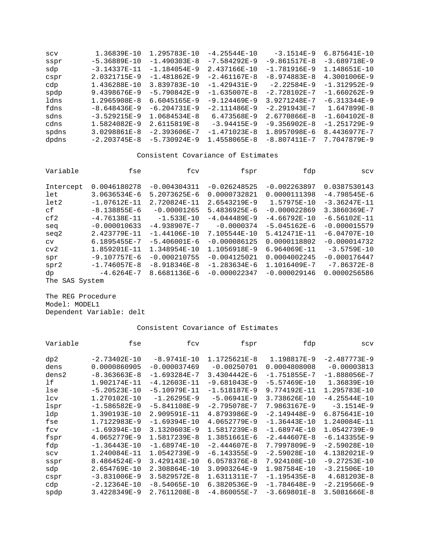| SCV   | 1.36839E-10      | 1.295783E-10     | $-4.25544E-10$   | $-3.1514E-9$     | 6.875641E-10     |
|-------|------------------|------------------|------------------|------------------|------------------|
| sspr  | $-5.36889E - 10$ | $-1.490303E-8$   | $-7.584292E-9$   | $-9.861517E-8$   | $-3.689718E-9$   |
| sdp   | $-3.14337E - 11$ | $-1.184054E-9$   | 2.437166E-10     | $-1.781916E-9$   | 1.148651E-10     |
| cspr  | 2.0321715E-9     | $-1.481862E-9$   | $-2.461167E-8$   | $-8.974883E-8$   | 4.3001006E-9     |
| cdp   | 1.436288E-10     | 3.839783E-10     | $-1.429431F-9$   | $-2.22584E-9$    | $-1.312952E-9$   |
| spdp  | 9.4398676E-9     | $-5.790842E-9$   | $-1.635007E - 8$ | $-2.728102E - 7$ | $-1.660262E-9$   |
| ldns  | $1.2965908E - 8$ | 6.6045165E-9     | $-9.124469E-9$   | 3.9271248E-7     | $-6.313344E-9$   |
| fdns  | $-8.648436E-9$   | $-6.204731E-9$   | $-2.111486E-9$   | $-2.291943E - 7$ | 1.647899E-8      |
| sdns  | $-3.529215E-9$   | $1.0684534E - 8$ | 6.473568E-9      | 2.6770866E-8     | $-1.604102E - 8$ |
| cdns  | 1.5824082E-9     | 2.6115819E-8     | $-3.94415E-9$    | $-9.356902E - 8$ | $-1.251729E-9$   |
| spdns | $3.0298861E - 8$ | $-2.393606E - 7$ | $-1.471023E-8$   | 1.8957098E-6     | 8.4436977E-7     |
| dpdns | $-2.203745E-8$   | $-5.730924E-9$   | 1.4558065E-8     | $-8.807411E-7$   | 7.7047879E-9     |

| Variable  | fse              | fcv              | fspr           | fdp            | SCV              |
|-----------|------------------|------------------|----------------|----------------|------------------|
| Intercept | 0.0046180278     | $-0.004304311$   | $-0.026248525$ | $-0.002263897$ | 0.0387530143     |
| let       | $3.0636534E - 6$ | $5.2073625E - 6$ | 0.0000732821   | 0.0000111398   | $-4.798545E - 6$ |
| let2      | $-1.07612E-11$   | 2.720824E-11     | 2.6543219E-9   | 1.57975E-10    | $-3.36247E - 11$ |
| сf        | $-8.138855E - 6$ | $-0.00001265$    | 5.4836925E-6   | $-0.000022869$ | 3.3860369E-7     |
| cf2       | $-4.76138E - 11$ | $-1.533E-10$     | $-4.044489E-9$ | $-4.66792E-10$ | $-6.56102E-11$   |
| seq       | $-0.000010633$   | $-4.938907E - 7$ | $-0.0000374$   | $-5.045162E-6$ | $-0.000015579$   |
| seq2      | 2.423779E-11     | $-1.44106E-10$   | 7.105544E-10   | 5.412471E-11   | $-6.04707E-10$   |
| CV        | 6.1895455E-7     | $-5.406001E-6$   | $-0.000086125$ | 0.0000118802   | $-0.000014732$   |
| cv2       | 1.859201E-11     | 1.348954E-10     | 1.1056918E-9   | 6.964069E-11   | $-3.5759E - 10$  |
| spr       | $-9.107757E - 6$ | $-0.000210755$   | $-0.004125021$ | 0.0004002245   | $-0.000176447$   |
| spr2      | $-1.746057E-8$   | $-8.918346E-8$   | $-1.283634E-6$ | 1.1016409E-7   | $-7.86372E - 8$  |
| dp        | $-4.6264E - 7$   | 8.6681136E-6     | $-0.000022347$ | $-0.000029146$ | 0.0000256586     |
| The       | SAS System       |                  |                |                |                  |

The REG Procedure Model: MODEL1 Dependent Variable: delt

| Variable | fse              | fcv              | fspr             | fdp              | SCV              |
|----------|------------------|------------------|------------------|------------------|------------------|
| dp2      | $-2.73402E - 10$ | $-8.9741E-10$    | 1.1725621E-8     | 1.198817E-9      | $-2.487773E-9$   |
| dens     | 0.0000860905     | $-0.000037469$   | $-0.00250701$    | 0.0004808008     | $-0.00003813$    |
| dens2    | $-8.363663E-8$   | $-1.693284E - 7$ | $3.4304442E - 6$ | $-1.751855E - 7$ | $-1.888056E - 7$ |
| lf       | 1.902174E-11     | $-4.12603E-11$   | $-9.681043E-9$   | $-5.57469E-10$   | 1.36839E-10      |
| lse      | $-5.20523E-10$   | $-5.10979E - 11$ | $-1.518187E-9$   | 9.774192E-11     | 1.295783E-10     |
| lcv      | 1.270102E-10     | $-1.26295E-9$    | $-5.06941E-9$    | 3.738626E-10     | $-4.25544E-10$   |
| lspr     | $-1.586582E-9$   | $-5.841108E-9$   | $-2.795078E - 7$ | 7.9863167E-9     | $-3.1514E-9$     |
| ldp      | 1.390193E-10     | 2.909591E-11     | 4.8793986E-9     | $-2.149448E-9$   | 6.875641E-10     |
| fse      | 1.7122983E-9     | $-1.69394E-10$   | 4.0652779E-9     | $-1.36443E-10$   | 1.240084E-11     |
| fcv      | $-1.69394E-10$   | 3.1320603E-9     | 1.5817239E-8     | $-1.68974E-10$   | 1.0542739E-9     |
| fspr     | 4.0652779E-9     | 1.5817239E-8     | 1.3851661E-6     | $-2.444607E-8$   | $-6.143355E-9$   |
| fdp      | $-1.36443E-10$   | $-1.68974E-10$   | $-2.444607E-8$   | 7.7997809E-9     | $-2.59028E-10$   |
| SCV      | 1.240084E-11     | 1.0542739E-9     | $-6.143355E-9$   | $-2.59028E-10$   | 4.1382021E-9     |
| sspr     | 8.4864524E-9     | 3.429143E-10     | 6.0578376E-8     | 7.924108E-10     | $-9.27253E - 10$ |
| sdp      | 2.654769E-10     | 2.308864E-10     | $3.0903264E-9$   | 1.987584E-10     | $-3.21506E-10$   |
| cspr     | $-3.831006E-9$   | $3.5829572E - 8$ | 1.6311311E-7     | $-1.195435E-8$   | 4.681203E-8      |
| cdp      | $-2.12364E-10$   | $-8.54065E - 10$ | 6.3820536E-9     | $-1.784648E-9$   | $-2.219566E-9$   |
| spdp     | 3.4228349E-9     | 2.7611208E-8     | $-4.860055E - 7$ | $-3.669801E-8$   | 3.5081666E-8     |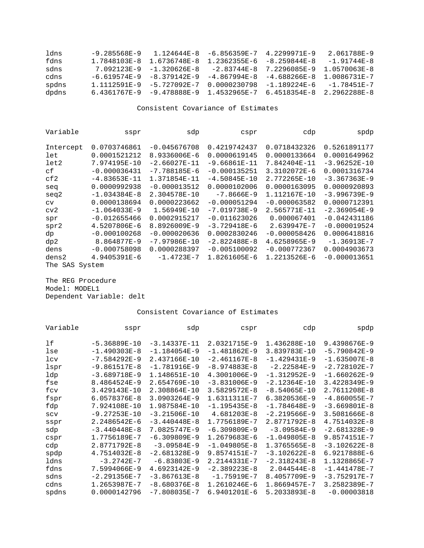| ldns  | -9.285568E-9                | $1\quad 124644E - 8$ | $-6$ 856359 $E-7$ | $4.2299971E-9$    | 2.061788E-9       |
|-------|-----------------------------|----------------------|-------------------|-------------------|-------------------|
| fdns  | 1 7848103F-8                | 1 6736748F-8         | $1.2362355E - 6$  | $-8.259844E - 8$  | $-1.91744E - 8$   |
| sdns  | 7 092123F-9                 | -1 320626F-8         | $-2$ 83744 $F-R$  | 7 2296085F-9      | 1.0570063E-8      |
| cdns  | -6.619574F-9                | -8.379142E-9         | $-4.867994E - 8$  | $-4$ 688266F-8    | 1.0086731 $E - 7$ |
| spdns | 1.1112591E-9                | -5.727092E-7         | 0 0000230798      | $-1$ 189224 $E-6$ | -1 78451 F-7      |
| dpdns | $6.4361767E-9 -9.478888E-9$ |                      | 1 4532965F-7      | 6 4518354E-8      | 2.2962288E-8      |

| Variable   | sspr             | sdp              | cspr             | cdp            | spdp           |
|------------|------------------|------------------|------------------|----------------|----------------|
|            |                  |                  |                  |                |                |
| Intercept  | 0.0703746861     | $-0.045676708$   | 0.4219742437     | 0.0718432326   | 0.5261891177   |
| let        | 0.0001521212     | 8.9336006E-6     | 0.0000619145     | 0.0000133664   | 0.0001649962   |
| let2       | 7.974195E-10     | $-2.66027E - 11$ | $-9.66861E-11$   | 7.842404E-11   | $-3.96252E-10$ |
| сf         | $-0.000036431$   | $-7.788185E-6$   | $-0.000135251$   | 3.3102072E-6   | 0.0001316734   |
| cf2        | $-4.83653E - 11$ | 1.371854E-11     | $-4.50845E - 10$ | 2.772265E-10   | $-3.367363E-9$ |
| seq        | 0.0000992938     | $-0.000013512$   | 0.0000102006     | 0.0000163095   | 0.0000920893   |
| seq2       | $-1.034384E-8$   | 2.304578E-10     | $-7.8666E-9$     | 1.112167E-10   | $-3.996739E-9$ |
| CV         | 0.0000138694     | 0.0000223662     | $-0.000051294$   | $-0.000063582$ | 0.0000712391   |
| cv2        | $-1.064033E-9$   | 1.56949E-10      | $-7.019738E-9$   | 2.565771E-11   | $-2.369054E-9$ |
| spr        | $-0.012655466$   | 0.0002915217     | $-0.011623026$   | 0.000067401    | $-0.042431186$ |
| spr2       | 4.5207806E-6     | 8.8926009E-9     | $-3.729418E-6$   | 2.639947E-7    | $-0.000019524$ |
| dp         | $-0.000100268$   | $-0.000020636$   | 0.0002830246     | $-0.000058426$ | 0.0006418816   |
| dp2        | 8.864877E-9      | $-7.97986E - 10$ | $-2.822488E - 8$ | 4.6258965E-9   | $-1.36913E-7$  |
| dens       | $-0.000758098$   | 0.0000288397     | $-0.005100092$   | $-0.000772367$ | 0.0004903673   |
| dens2      | 4.9405391E-6     | $-1.4723E-7$     | 1.8261605E-6     | 1.2213526E-6   | $-0.000013651$ |
| SAS<br>The | System           |                  |                  |                |                |

The REG Procedure Model: MODEL1 Dependent Variable: delt

| Variable | sspr             | sdp              | cspr             | cdp              | spdp             |
|----------|------------------|------------------|------------------|------------------|------------------|
| 1f       | $-5.36889E - 10$ | $-3.14337E - 11$ | 2.0321715E-9     | 1.436288E-10     | 9.4398676E-9     |
| lse      | $-1.490303E-8$   | $-1.184054E-9$   | $-1.481862E-9$   | 3.839783E-10     | $-5.790842E-9$   |
| lcv      | $-7.584292E-9$   | 2.437166E-10     | $-2.461167E-8$   | $-1.429431E-9$   | $-1.635007E-8$   |
| lspr     | $-9.861517E-8$   | $-1.781916E-9$   | $-8.974883E-8$   | $-2.22584E-9$    | $-2.728102E - 7$ |
| ldp      | $-3.689718E-9$   | 1.148651E-10     | 4.3001006E-9     | $-1.312952E-9$   | $-1.660262E-9$   |
| fse      | 8.4864524E-9     | 2.654769E-10     | $-3.831006E-9$   | $-2.12364E-10$   | 3.4228349E-9     |
| fcv      | 3.429143E-10     | 2.308864E-10     | $3.5829572E - 8$ | $-8.54065E - 10$ | 2.7611208E-8     |
| fspr     | 6.0578376E-8     | 3.0903264E-9     | 1.6311311E-7     | 6.3820536E-9     | $-4.860055E - 7$ |
| fdp      | 7.924108E-10     | 1.987584E-10     | $-1.195435E-8$   | $-1.784648E-9$   | $-3.669801E-8$   |
| SCV      | $-9.27253E-10$   | $-3.21506E-10$   | 4.681203E-8      | $-2.219566E-9$   | 3.5081666E-8     |
| sspr     | 2.2486542E-6     | $-3.440448E-8$   | 1.7756189E-7     | 2.8771792E-8     | 4.7514032E-8     |
| sdp      | $-3.440448E-8$   | 7.0825747E-9     | $-6.309809E-9$   | $-3.09584E-9$    | $-2.681328E-9$   |
| cspr     | 1.7756189E-7     | $-6.309809E-9$   | 1.2679683E-6     | $-1.049805E-8$   | 9.8574151E-7     |
| cdp      | 2.8771792E-8     | $-3.09584E-9$    | $-1.049805E-8$   | 1.3765565E-8     | $-3.102622E-8$   |
| spdp     | 4.7514032E-8     | $-2.681328E-9$   | 9.8574151E-7     | $-3.102622E-8$   | 6.9217888E-6     |
| ldns     | $-3.2742E - 7$   | $-6.83803E-9$    | 2.2144331E-7     | $-2.318243E-8$   | 1.1328865E-7     |
| fdns     | 7.5994066E-9     | 4.6923142E-9     | $-2.389223E - 8$ | $2.044544E - 8$  | $-1.441478E - 7$ |
| sdns     | $-2.291356E - 7$ | $-3.867613E-8$   | $-1.75919E-7$    | 8.4057709E-9     | $-3.752917E - 7$ |
| cdns     | 1.2653987E-7     | $-8.680376E-8$   | 1.2610246E-6     | 1.8669457E-7     | 3.2582389E-7     |
| spdns    | 0.0000142796     | $-7.808035E - 7$ | 6.9401201E-6     | 5.2033893E-8     | $-0.00003818$    |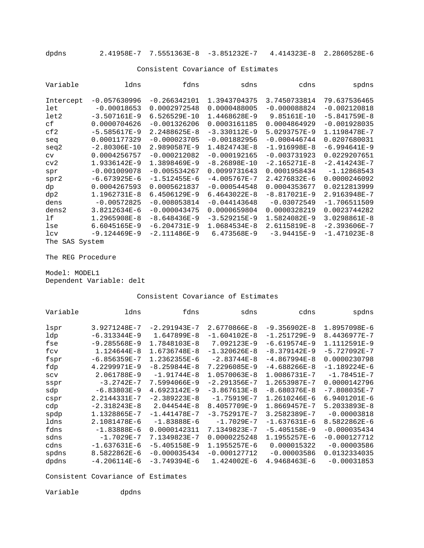dpdns 2.41958E-7 7.5551363E-8 -3.851232E-7 4.414323E-8 2.2860528E-6

#### Consistent Covariance of Estimates

| Variable  | ldns             | fdns             | sdns             | cdns           | spdns            |
|-----------|------------------|------------------|------------------|----------------|------------------|
|           |                  |                  |                  |                |                  |
| Intercept | $-0.057630996$   | $-0.266342101$   | 1.3943704375     | 3.7450733814   | 79.637536465     |
| let       | $-0.00018653$    | 0.0002972548     | 0.0000488005     | $-0.000088824$ | $-0.002120818$   |
| let2      | $-3.507161E-9$   | $6.526529E - 10$ | 1.4468628E-9     | 9.85161E-10    | $-5.841759E-8$   |
| cf        | 0.0000704626     | $-0.001326206$   | 0.0003161185     | 0.0004864929   | $-0.001928035$   |
| cf2       | $-5.585617E-9$   | 2.2488625E-8     | $-3.330112E-9$   | 5.0293757E-9   | 1.1198478E-7     |
| seq       | 0.0001177329     | $-0.000023705$   | $-0.001882956$   | $-0.000446744$ | 0.0207680031     |
| seq2      | $-2.80306E - 10$ | 2.9890587E-9     | $1.4824743E - 8$ | $-1.916998E-8$ | $-6.994641E-9$   |
| CV        | 0.0004256757     | $-0.000212082$   | $-0.000192165$   | $-0.003731923$ | 0.0229207651     |
| cv2       | 1.9336142E-9     | 1.3898469E-9     | $-8.26898E-10$   | $-2.165271E-8$ | $-2.414243E - 7$ |
| spr       | $-0.001009078$   | $-0.005534267$   | 0.0099731643     | 0.0001958434   | $-1.12868543$    |
| spr2      | $-6.673925E-6$   | $-1.512455E-6$   | $-4.005767E - 7$ | 2.4276832E-6   | 0.0000246092     |
| dp        | 0.0004267593     | 0.0005621837     | $-0.000544548$   | 0.0004353677   | 0.0212813999     |
| dp2       | 1.1962731E-8     | 6.4506129E-9     | $6.4643022E-8$   | $-8.817021E-9$ | 2.9163948E-7     |
| dens      | $-0.00572825$    | $-0.008053814$   | $-0.044143648$   | $-0.03072549$  | $-1.706511509$   |
| dens2     | 3.8212634E-6     | $-0.000043475$   | 0.0000659804     | 0.0000328219   | 0.0023744282     |
| lf        | 1.2965908E-8     | $-8.648436E-9$   | $-3.529215E-9$   | 1.5824082E-9   | 3.0298861E-8     |
| lse       | 6.6045165E-9     | $-6.204731E-9$   | $1.0684534E - 8$ | 2.6115819E-8   | $-2.393606E - 7$ |
| lcv       | $-9.124469E-9$   | $-2.111486E-9$   | 6.473568E-9      | $-3.94415E-9$  | $-1.471023E-8$   |
| The SAS   | System           |                  |                  |                |                  |

The REG Procedure

Model: MODEL1 Dependent Variable: delt

Consistent Covariance of Estimates

| Variable | ldns             | fdns             | sdns             | cdns           | spdns            |
|----------|------------------|------------------|------------------|----------------|------------------|
|          |                  |                  |                  |                |                  |
| lspr     | 3.9271248E-7     | $-2.291943E - 7$ | 2.6770866E-8     | $-9.356902E-8$ | 1.8957098E-6     |
| ldp      | $-6.313344E-9$   | 1.647899E-8      | $-1.604102E-8$   | $-1.251729E-9$ | 8.4436977E-7     |
| fse      | $-9.285568E-9$   | 1.7848103E-8     | 7.092123E-9      | $-6.619574E-9$ | 1.1112591E-9     |
| fcv      | $1.124644E - 8$  | 1.6736748E-8     | $-1.320626E - 8$ | $-8.379142E-9$ | $-5.727092E - 7$ |
| fspr     | $-6.856359E - 7$ | 1.2362355E-6     | $-2.83744E-8$    | $-4.867994E-8$ | 0.0000230798     |
| fdp      | 4.2299971E-9     | $-8.259844E-8$   | 7.2296085E-9     | $-4.688266E-8$ | $-1.189224E-6$   |
| SCV      | 2.061788E-9      | $-1.91744E-8$    | 1.0570063E-8     | 1.0086731E-7   | $-1.78451E-7$    |
| sspr     | $-3.2742E - 7$   | 7.5994066E-9     | $-2.291356E - 7$ | 1.2653987E-7   | 0.0000142796     |
| sdp      | $-6.83803E-9$    | 4.6923142E-9     | $-3.867613E-8$   | $-8.680376E-8$ | $-7.808035E - 7$ |
| cspr     | 2.2144331E-7     | $-2.389223E - 8$ | $-1.75919E - 7$  | 1.2610246E-6   | 6.9401201E-6     |
| cdp      | $-2.318243E-8$   | $2.044544E-8$    | 8.4057709E-9     | 1.8669457E-7   | $5.2033893E-8$   |
| spdp     | 1.1328865E-7     | $-1.441478E - 7$ | $-3.752917E - 7$ | 3.2582389E-7   | $-0.00003818$    |
| ldns     | 2.1081478E-6     | $-1.83888E-6$    | $-1.7029E - 7$   | $-1.637631E-6$ | 8.5822862E-6     |
| fdns     | $-1.83888E-6$    | 0.0000142311     | 7.1349823E-7     | $-5.405158E-9$ | $-0.000035434$   |
| sdns     | $-1.7029E - 7$   | 7.1349823E-7     | 0.0000225248     | 1.1955257E-6   | $-0.000127712$   |
| cdns     | $-1.637631E-6$   | $-5.405158E-9$   | 1.1955257E-6     | 0.000015322    | $-0.00003586$    |
| spdns    | 8.5822862E-6     | $-0.000035434$   | $-0.000127712$   | $-0.00003586$  | 0.0132334035     |
| dpdns    | $-4.206114E-6$   | $-3.749394E-6$   | $1.424002E - 6$  | 4.9468463E-6   | $-0.00031853$    |

Consistent Covariance of Estimates

Variable dpdns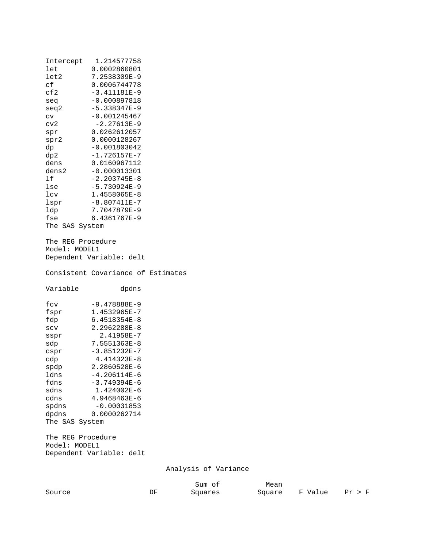| Intercept<br>let<br>let2<br>сf<br>cf2<br>seq<br>seq2<br>$\text{cv}$<br>cv2<br>spr<br>spr2<br>dp<br>dp2<br>dens | 1.214577758<br>0.0002860801<br>7.2538309E-9<br>0.0006744778<br>$-3.411181E-9$<br>$-0.000897818$<br>$-5.338347E-9$<br>$-0.001245467$<br>$-2.27613E-9$<br>0.0262612057<br>0.0000128267<br>$-0.001803042$<br>$-1.726157E-7$<br>0.0160967112 |                      |  |
|----------------------------------------------------------------------------------------------------------------|------------------------------------------------------------------------------------------------------------------------------------------------------------------------------------------------------------------------------------------|----------------------|--|
| dens2<br>lf                                                                                                    | $-0.000013301$<br>$-2.203745E-8$                                                                                                                                                                                                         |                      |  |
| lse                                                                                                            | $-5.730924E-9$                                                                                                                                                                                                                           |                      |  |
| lcv                                                                                                            | 1.4558065E-8                                                                                                                                                                                                                             |                      |  |
| lspr                                                                                                           | $-8.807411E-7$                                                                                                                                                                                                                           |                      |  |
| ldp                                                                                                            | 7.7047879E-9                                                                                                                                                                                                                             |                      |  |
| fse<br>The SAS System                                                                                          | 6.4361767E-9                                                                                                                                                                                                                             |                      |  |
|                                                                                                                |                                                                                                                                                                                                                                          |                      |  |
| The REG Procedure                                                                                              |                                                                                                                                                                                                                                          |                      |  |
| Model: MODEL1                                                                                                  |                                                                                                                                                                                                                                          |                      |  |
|                                                                                                                | Dependent Variable: delt                                                                                                                                                                                                                 |                      |  |
|                                                                                                                | Consistent Covariance of Estimates                                                                                                                                                                                                       |                      |  |
| Variable                                                                                                       | dpdns                                                                                                                                                                                                                                    |                      |  |
|                                                                                                                |                                                                                                                                                                                                                                          |                      |  |
| fcv                                                                                                            | $-9.478888E-9$<br>1.4532965E-7                                                                                                                                                                                                           |                      |  |
| fspr<br>fdp                                                                                                    | 6.4518354E-8                                                                                                                                                                                                                             |                      |  |
| SCV                                                                                                            | 2.2962288E-8                                                                                                                                                                                                                             |                      |  |
| sspr                                                                                                           | 2.41958E-7                                                                                                                                                                                                                               |                      |  |
| sdp                                                                                                            | 7.5551363E-8                                                                                                                                                                                                                             |                      |  |
| cspr                                                                                                           | $-3.851232E-7$                                                                                                                                                                                                                           |                      |  |
| cdp                                                                                                            | 4.414323E-8                                                                                                                                                                                                                              |                      |  |
| spdp                                                                                                           | 2.2860528E-6                                                                                                                                                                                                                             |                      |  |
| ldns                                                                                                           | $-4.206114E-6$                                                                                                                                                                                                                           |                      |  |
| fdns                                                                                                           | $-3.749394E-6$                                                                                                                                                                                                                           |                      |  |
| sdns                                                                                                           | 1.424002E-6                                                                                                                                                                                                                              |                      |  |
| cdns                                                                                                           |                                                                                                                                                                                                                                          |                      |  |
|                                                                                                                | 4.9468463E-6                                                                                                                                                                                                                             |                      |  |
| spdns                                                                                                          | $-0.00031853$                                                                                                                                                                                                                            |                      |  |
| dpdns                                                                                                          | 0.0000262714                                                                                                                                                                                                                             |                      |  |
| The SAS System                                                                                                 |                                                                                                                                                                                                                                          |                      |  |
| The REG Procedure                                                                                              |                                                                                                                                                                                                                                          |                      |  |
| Model: MODEL1                                                                                                  | Dependent Variable: delt                                                                                                                                                                                                                 |                      |  |
|                                                                                                                |                                                                                                                                                                                                                                          | Analysis of Variance |  |

|        |          | Sum of  | Mean |                |        |
|--------|----------|---------|------|----------------|--------|
| Source | DF<br>-- | Squares |      | Square F Value | Pr > F |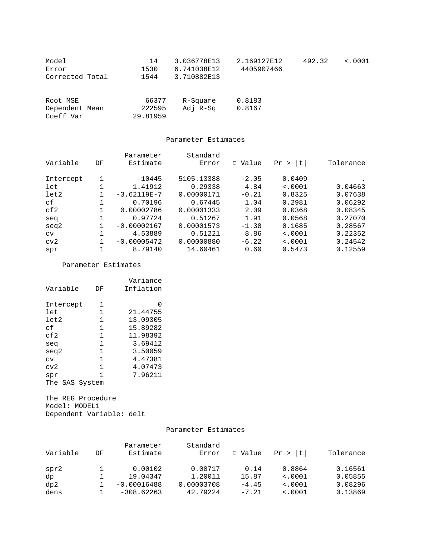| Model<br>Error<br>Corrected Total       | 14<br>1530<br>1544          | 3.036778E13<br>6.741038E12<br>3.710882E13 | 2.169127E12<br>4405907466 | 492.32 | < .0001 |
|-----------------------------------------|-----------------------------|-------------------------------------------|---------------------------|--------|---------|
| Root MSE<br>Dependent Mean<br>Coeff Var | 66377<br>222595<br>29.81959 | R-Square<br>Adj R-Sq                      | 0.8183<br>0.8167          |        |         |

#### Parameter Estimates

|           |    | Parameter     | Standard   |         |             |           |
|-----------|----|---------------|------------|---------|-------------|-----------|
| Variable  | DF | Estimate      | Error      | t Value | l t<br>Pr > | Tolerance |
|           |    |               |            |         |             |           |
| Intercept |    | $-10445$      | 5105.13388 | $-2.05$ | 0.0409      |           |
| let       |    | 1.41912       | 0.29338    | 4.84    | < .0001     | 0.04663   |
| let2      |    | $-3.62119E-7$ | 0.00000171 | $-0.21$ | 0.8325      | 0.07638   |
| сf        |    | 0.70196       | 0.67445    | 1.04    | 0.2981      | 0.06292   |
| cf2       |    | 0.00002786    | 0.00001333 | 2.09    | 0.0368      | 0.08345   |
| seq       |    | 0.97724       | 0.51267    | 1.91    | 0.0568      | 0.27070   |
| seq2      |    | $-0.00002167$ | 0.00001573 | $-1.38$ | 0.1685      | 0.28567   |
| CV        |    | 4.53889       | 0.51221    | 8.86    | < .0001     | 0.22352   |
| cv2       |    | $-0.00005472$ | 0.00000880 | $-6.22$ | < .0001     | 0.24542   |
| spr       |    | 8.79140       | 14.60461   | 0.60    | 0.5473      | 0.12559   |

Parameter Estimates

| Variable       | DF | Variance<br>Inflation |
|----------------|----|-----------------------|
| Intercept      | 1  | $\left( \right)$      |
| let            | 1  | 21.44755              |
| let2           | 1  | 13.09305              |
| cf             | 1  | 15.89282              |
| cf2            | 1  | 11.98392              |
| sea            | 1  | 3.69412               |
| seg2           | 1  | 3.50059               |
| CV             | 1  | 4.47381               |
| cv2            | 1  | 4.07473               |
| spr            | 1  | 7.96211               |
| The SAS System |    |                       |

The REG Procedure Model: MODEL1 Dependent Variable: delt

#### Parameter Estimates

| Variable | DF | Parameter<br>Estimate | Standard<br>Error | t Value | Pr >  t      | Tolerance |
|----------|----|-----------------------|-------------------|---------|--------------|-----------|
| spr2     |    | 0.00102               | 0.00717           | 0.14    | 0.8864       | 0.16561   |
| dp       |    | 19.04347              | 1.20011           | 15.87   | $\leq 0.001$ | 0.05855   |
| dp2      |    | $-0.00016488$         | 0.00003708        | $-4.45$ | $\leq 0.001$ | 0.08296   |
| dens     |    | $-308.62263$          | 42.79224          | $-7.21$ | < .0001      | 0.13869   |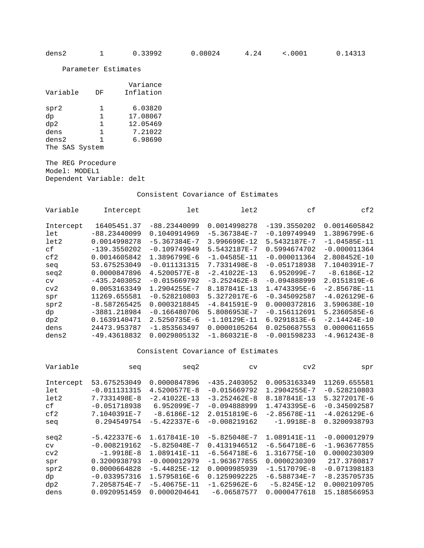Parameter Estimates

| Variable       | DF | Variance<br>Inflation |
|----------------|----|-----------------------|
| spr2           | 1  | 6.03820               |
| dp             | 1  | 17.08067              |
| dp2            | 1  | 12.05469              |
| dens           | 1  | 7.21022               |
| dens2          | 1  | 6.98690               |
| The SAS System |    |                       |

The REG Procedure Model: MODEL1 Dependent Variable: delt

Consistent Covariance of Estimates

| Variable  | Intercept      | let              | let2             | сf              | cf2              |
|-----------|----------------|------------------|------------------|-----------------|------------------|
|           |                |                  |                  |                 |                  |
| Intercept | 16405451.37    | $-88.23440099$   | 0.0014998278     | $-139.3550202$  | 0.0014605842     |
| let       | $-88.23440099$ | 0.1040914969     | $-5.367384E - 7$ | $-0.109749949$  | 1.3896799E-6     |
| let2      | 0.0014998278   | $-5.367384E - 7$ | $3.996699E - 12$ | 5.5432187E-7    | $-1.04585E - 11$ |
| сf        | $-139.3550202$ | $-0.109749949$   | 5.5432187E-7     | 0.5994674702    | $-0.000011364$   |
| cf2       | 0.0014605842   | 1.3896799E-6     | $-1.04585E - 11$ | $-0.000011364$  | 2.808452E-10     |
| seq       | 53.675253049   | $-0.011131315$   | 7.7331498E-8     | $-0.051718938$  | 7.1040391E-7     |
| seq2      | 0.0000847896   | 4.5200577E-8     | $-2.41022E-13$   | $6.952099E - 7$ | $-8.6186E-12$    |
| CV        | $-435.2403052$ | $-0.015669792$   | $-3.252462E - 8$ | $-0.094888999$  | 2.0151819E-6     |
| cv2       | 0.0053163349   | 1.2904255E-7     | 8.187841E-13     | 1.4743395E-6    | $-2.85678E - 11$ |
| spr       | 11269.655581   | $-0.528210803$   | 5.3272017E-6     | $-0.345092587$  | $-4.026129E-6$   |
| spr2      | $-8.587265425$ | 0.0003218845     | $-4.841591E-9$   | 0.0000372816    | 3.590638E-10     |
| dp        | $-3881.218984$ | $-0.166480706$   | 5.8086953E-7     | $-0.156112691$  | 5.2360585E-6     |
| dp2       | 0.1639140471   | $2.5250735E - 6$ | $-1.10129E - 11$ | 6.9291813E-6    | $-2.14424E-10$   |
| dens      | 24473.953787   | $-1.853563497$   | 0.0000105264     | 0.0250687553    | 0.0000611655     |
| dens2     | $-49.43618832$ | 0.0029805132     | $-1.860321E-8$   | $-0.001598233$  | $-4.961243E - 8$ |

| Variable  | seq            | seq2             | CV               | cv2              | spr            |
|-----------|----------------|------------------|------------------|------------------|----------------|
|           |                |                  |                  |                  |                |
| Intercept | 53.675253049   | 0.0000847896     | $-435.2403052$   | 0.0053163349     | 11269.655581   |
| let       | $-0.011131315$ | 4.5200577E-8     | $-0.015669792$   | 1.2904255E-7     | $-0.528210803$ |
| let2      | 7.7331498E-8   | $-2.41022E-13$   | $-3.252462E - 8$ | 8.187841E-13     | 5.3272017E-6   |
| сf        | $-0.051718938$ | 6.952099E-7      | $-0.094888999$   | 1.4743395E-6     | $-0.345092587$ |
| cf2       | 7.1040391E-7   | $-8.6186E-12$    | 2.0151819E-6     | $-2.85678E - 11$ | $-4.026129E-6$ |
| seq       | 0.294549754    | $-5.422337E-6$   | $-0.008219162$   | $-1.9918E-8$     | 0.3200938793   |
|           |                |                  |                  |                  |                |
| seq2      | $-5.422337E-6$ | 1.617841E-10     | $-5.825048E - 7$ | 1.089141E-11     | $-0.000012979$ |
| CV        | $-0.008219162$ | $-5.825048E - 7$ | 0.4131946512     | $-6.564718E-6$   | $-1.963677855$ |
| cv2       | $-1.9918E-8$   | 1.089141E-11     | $-6.564718E-6$   | 1.316775E-10     | 0.0000230309   |
| spr       | 0.3200938793   | $-0.000012979$   | $-1.963677855$   | 0.0000230309     | 217.3780817    |
| spr2      | 0.0000664828   | $-5.44825E - 12$ | 0.0009985939     | $-1.517079E-8$   | $-0.071398183$ |
| dp        | $-0.033957316$ | 1.5795816E-6     | 0.1259092225     | $-6.588734E - 7$ | $-8.235705735$ |
| dp2       | 7.2058754E-7   | $-5.40675E - 11$ | $-1.625962E-6$   | $-5.8245E-12$    | 0.0002109705   |
| dens      | 0.0920951459   | 0.0000204641     | $-6.06587577$    | 0.0000477618     | 15.188566953   |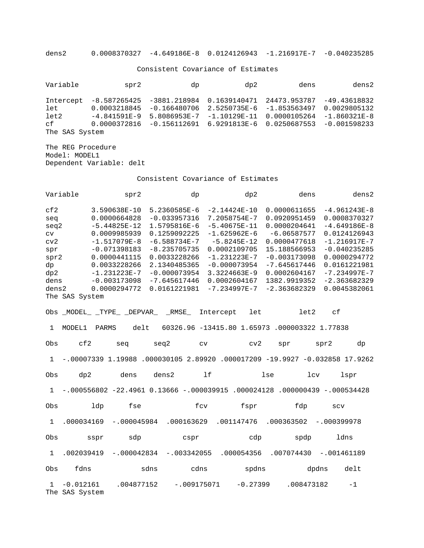dens2 0.0008370327 -4.649186E-8 0.0124126943 -1.216917E-7 -0.040235285

Consistent Covariance of Estimates

| Variable                            | spr2                                                                                                                                                                                                                                                   | dp | dp2 | dens | dens2                                          |
|-------------------------------------|--------------------------------------------------------------------------------------------------------------------------------------------------------------------------------------------------------------------------------------------------------|----|-----|------|------------------------------------------------|
| let<br>let2<br>cf<br>The SAS System | Intercept -8.587265425 -3881.218984 0.1639140471 24473.953787<br>$0.0003218845 - 0.166480706$ 2.5250735E-6 -1.853563497<br>$-4.841591E-9$ 5.8086953E-7 -1.10129E-11 0.0000105264<br>$0.0000372816$ -0.156112691 6.9291813E-6 0.0250687553 -0.001598233 |    |     |      | -49.43618832<br>0.0029805132<br>$-1.860321E-8$ |

The REG Procedure Model: MODEL1 Dependent Variable: delt

|                                                                                          | Variable                      | spr2                                                                                                                                                                                   | dp                                                                                                                                                                                     | dp2                                                                                                                                                                                         | dens                                                                                                                                                                                | dens2                                                                                                                                                                                      |
|------------------------------------------------------------------------------------------|-------------------------------|----------------------------------------------------------------------------------------------------------------------------------------------------------------------------------------|----------------------------------------------------------------------------------------------------------------------------------------------------------------------------------------|---------------------------------------------------------------------------------------------------------------------------------------------------------------------------------------------|-------------------------------------------------------------------------------------------------------------------------------------------------------------------------------------|--------------------------------------------------------------------------------------------------------------------------------------------------------------------------------------------|
| cf2<br>seq<br>seq2<br>cv<br>cv2<br>spr<br>spr2<br>dp<br>dp2<br>dens<br>dens <sub>2</sub> | The SAS System                | 3.590638E-10<br>0.0000664828<br>$-5.44825E-12$<br>0.0009985939<br>$-1.517079E-8$<br>$-0.071398183$<br>0.0000441115<br>0.0033228266<br>$-1.231223E-7$<br>$-0.003173098$<br>0.0000294772 | 5.2360585E-6<br>$-0.033957316$<br>1.5795816E-6<br>0.1259092225<br>$-6.588734E-7$<br>$-8.235705735$<br>0.0033228266<br>2.1340485365<br>$-0.000073954$<br>$-7.645617446$<br>0.0161221981 | $-2.14424E-10$<br>7.2058754E-7<br>$-5.40675E-11$<br>$-1.625962E-6$<br>$-5.8245E-12$<br>0.0002109705<br>$-1.231223E-7$<br>$-0.000073954$<br>3.3224663E-9<br>0.0002604167<br>$-7.234997E - 7$ | 0.0000611655<br>0.0920951459<br>0.0000204641<br>$-6.06587577$<br>0.0000477618<br>15.188566953<br>$-0.003173098$<br>$-7.645617446$<br>0.0002604167<br>1382.9919352<br>$-2.363682329$ | $-4.961243E-8$<br>0.0008370327<br>$-4.649186E-8$<br>0.0124126943<br>$-1.216917E-7$<br>$-0.040235285$<br>0.0000294772<br>0.0161221981<br>$-7.234997E - 7$<br>$-2.363682329$<br>0.0045382061 |
|                                                                                          |                               | Obs _MODEL_ _TYPE_ _DEPVAR_ _RMSE_                                                                                                                                                     |                                                                                                                                                                                        | Intercept<br>let                                                                                                                                                                            | let2                                                                                                                                                                                | c <sub>f</sub>                                                                                                                                                                             |
| $\mathbf{1}$                                                                             | MODEL1                        | delt<br><b>PARMS</b>                                                                                                                                                                   |                                                                                                                                                                                        |                                                                                                                                                                                             | 60326.96 -13415.80 1.65973 .000003322 1.77838                                                                                                                                       |                                                                                                                                                                                            |
| Obs                                                                                      | cf2                           | seq                                                                                                                                                                                    | seq2<br>cv                                                                                                                                                                             | cv2                                                                                                                                                                                         | spr                                                                                                                                                                                 | spr2<br>dp                                                                                                                                                                                 |
| $\mathbf{1}$                                                                             | $-.00007339$ 1.19988          |                                                                                                                                                                                        |                                                                                                                                                                                        |                                                                                                                                                                                             |                                                                                                                                                                                     | .000030105 2.89920 .000017209 -19.9927 -0.032858 17.9262                                                                                                                                   |
| Obs                                                                                      | dp2                           | dens                                                                                                                                                                                   | 1f<br>dens2                                                                                                                                                                            |                                                                                                                                                                                             | lse<br>1 <sub>cv</sub>                                                                                                                                                              | lspr                                                                                                                                                                                       |
| $\mathbf{1}$                                                                             |                               |                                                                                                                                                                                        |                                                                                                                                                                                        |                                                                                                                                                                                             | $-.000556802 -22.4961 0.13666 - .000039915 .000024128 .000000439 - .000534428$                                                                                                      |                                                                                                                                                                                            |
| Obs                                                                                      | ldp                           | fse                                                                                                                                                                                    | fcv                                                                                                                                                                                    | fspr                                                                                                                                                                                        | fdp                                                                                                                                                                                 | SCV                                                                                                                                                                                        |
| $\mathbf{1}$                                                                             | .000034169                    | $-.000045984$                                                                                                                                                                          | .000163629                                                                                                                                                                             | .001147476                                                                                                                                                                                  | .000363502                                                                                                                                                                          | $-.000399978$                                                                                                                                                                              |
| Obs                                                                                      | sspr                          | sdp                                                                                                                                                                                    | cspr                                                                                                                                                                                   | cdp                                                                                                                                                                                         | spdp                                                                                                                                                                                | ldns                                                                                                                                                                                       |
| $\mathbf{1}$                                                                             | .002039419                    | $-.000042834$                                                                                                                                                                          | $-.003342055$                                                                                                                                                                          | .000054356                                                                                                                                                                                  | .007074430                                                                                                                                                                          | $-.001461189$                                                                                                                                                                              |
| Obs                                                                                      | fdns                          | sdns                                                                                                                                                                                   | cdns                                                                                                                                                                                   | spdns                                                                                                                                                                                       |                                                                                                                                                                                     | dpdns<br>delt                                                                                                                                                                              |
| $\mathbf{1}$                                                                             | $-0.012161$<br>The SAS System | .004877152                                                                                                                                                                             | $-.009175071$                                                                                                                                                                          | $-0.27399$                                                                                                                                                                                  | .008473182                                                                                                                                                                          | $-1$                                                                                                                                                                                       |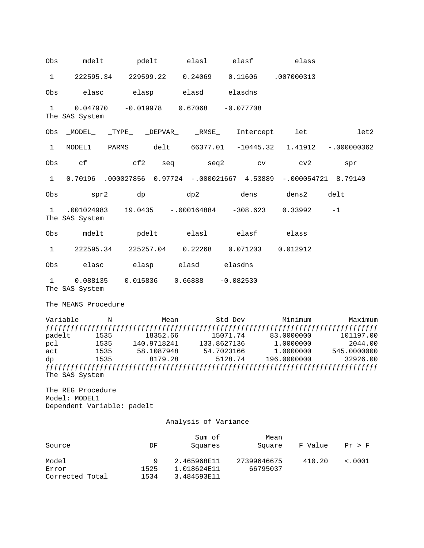Obs mdelt pdelt elasl elasf elass 1 222595.34 229599.22 0.24069 0.11606 .007000313 Obs elasc elasp elasd elasdns 1 0.047970 -0.019978 0.67068 -0.077708 The SAS System Obs \_MODEL\_ \_TYPE\_ \_DEPVAR\_ \_RMSE\_ Intercept let let2 1 MODEL1 PARMS delt 66377.01 -10445.32 1.41912 -.000000362 Obs cf cf2 seq seq2 cv cv2 spr 1 0.70196 .000027856 0.97724 -.000021667 4.53889 -.000054721 8.79140 Obs spr2 dp dp2 dens dens2 delt 1 .001024983 19.0435 -.000164884 -308.623 0.33992 -1 The SAS System Obs mdelt pdelt elasl elasf elass 1 222595.34 225257.04 0.22268 0.071203 0.012912 Obs elasc elasp elasd elasdns 1 0.088135 0.015836 0.66888 -0.082530 The SAS System The MEANS Procedure Variable N Mean Std Dev Minimum Maximum ƒƒƒƒƒƒƒƒƒƒƒƒƒƒƒƒƒƒƒƒƒƒƒƒƒƒƒƒƒƒƒƒƒƒƒƒƒƒƒƒƒƒƒƒƒƒƒƒƒƒƒƒƒƒƒƒƒƒƒƒƒƒƒƒƒƒƒƒƒƒƒƒƒƒƒƒƒƒƒƒ padelt 1535 18352.66 15071.74 83.0000000 101197.00<br>pcl 1535 140.9718241 133.8627136 1.0000000 2044.00 pcl 1535 140.9718241 133.8627136 1.0000000 2044.00 act 1535 58.1087948 54.7023166 1.0000000 545.0000000 dp 1535 8179.28 5128.74 196.0000000 32926.00 ƒƒƒƒƒƒƒƒƒƒƒƒƒƒƒƒƒƒƒƒƒƒƒƒƒƒƒƒƒƒƒƒƒƒƒƒƒƒƒƒƒƒƒƒƒƒƒƒƒƒƒƒƒƒƒƒƒƒƒƒƒƒƒƒƒƒƒƒƒƒƒƒƒƒƒƒƒƒƒƒ The SAS System The REG Procedure Model: MODEL1 Dependent Variable: padelt Analysis of Variance Sum of Mean Source Source DF Squares Square F Value Pr > F Model 9 2.465968E11 27399646675 410.20 <.0001 Error 1525 1.018624E11 66795037

Corrected Total 1534 3.484593E11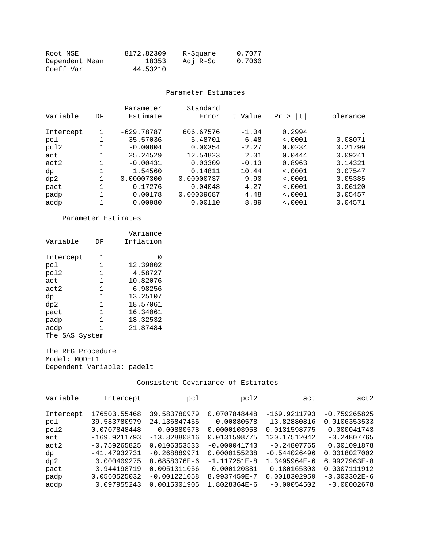| Root MSE       | 8172.82309 | R-Square | 0.7077 |
|----------------|------------|----------|--------|
| Dependent Mean | 18353      | Adj R-Sq | 0.7060 |
| Coeff Var      | 44.53210   |          |        |

#### Parameter Estimates

| Variable  | DF | Parameter<br>Estimate | Standard<br>Error | t Value | Pr ><br>It. | Tolerance |
|-----------|----|-----------------------|-------------------|---------|-------------|-----------|
|           |    |                       |                   |         |             |           |
| Intercept |    | $-629.78787$          | 606.67576         | $-1.04$ | 0.2994      |           |
| pcl       |    | 35.57036              | 5.48701           | 6.48    | < .0001     | 0.08071   |
| pc12      |    | $-0.00804$            | 0.00354           | $-2.27$ | 0.0234      | 0.21799   |
| act       |    | 25.24529              | 12.54823          | 2.01    | 0.0444      | 0.09241   |
| act2      |    | $-0.00431$            | 0.03309           | $-0.13$ | 0.8963      | 0.14321   |
| dp        |    | 1.54560               | 0.14811           | 10.44   | < .0001     | 0.07547   |
| dp2       |    | $-0.00007300$         | 0.00000737        | $-9.90$ | < .0001     | 0.05385   |
| pact      |    | $-0.17276$            | 0.04048           | $-4.27$ | < .0001     | 0.06120   |
| padp      |    | 0.00178               | 0.00039687        | 4.48    | < .0001     | 0.05457   |
| acdp      |    | 0.00980               | 0.00110           | 8.89    | < 0.001     | 0.04571   |

Parameter Estimates

| Variable       | DF | Variance<br>Inflation |
|----------------|----|-----------------------|
| Intercept      | 1  | $\left( \right)$      |
| pcl            | 1. | 12.39002              |
| pc12           | 1  | 4.58727               |
| act            | 1  | 10.82076              |
| act2           | 1  | 6.98256               |
| dp             | 1  | 13.25107              |
| dp2            | 1  | 18.57061              |
| pact           | 1  | 16.34061              |
| padp           | 1  | 18.32532              |
| acdp           | 1  | 21.87484              |
| The SAS System |    |                       |

The REG Procedure Model: MODEL1 Dependent Variable: padelt

| Variable  | Intercept      | pcl            | pcl2             | act            | act2             |
|-----------|----------------|----------------|------------------|----------------|------------------|
|           |                |                |                  |                |                  |
| Intercept | 176503.55468   | 39.583780979   | 0.0707848448     | $-169.9211793$ | $-0.759265825$   |
| pc1       | 39.583780979   | 24.136847455   | $-0.00880578$    | $-13.82880816$ | 0.0106353533     |
| pcl2      | 0.0707848448   | $-0.00880578$  | 0.0000103958     | 0.0131598775   | $-0.000041743$   |
| act       | $-169.9211793$ | $-13.82880816$ | 0.0131598775     | 120.17512042   | $-0.24807765$    |
| act2      | $-0.759265825$ | 0.0106353533   | $-0.000041743$   | $-0.24807765$  | 0.001091878      |
| dp        | $-41.47932731$ | $-0.268889971$ | 0.0000155238     | $-0.544026496$ | 0.0018027002     |
| dp2       | 0.000409275    | 8.6858076E-6   | $-1.117251E - 8$ | 1.3495964E-6   | $6.9927963E - 8$ |
| pact      | $-3.944198719$ | 0.0051311056   | $-0.000120381$   | $-0.180165303$ | 0.0007111912     |
| padp      | 0.0560525032   | $-0.001221058$ | 8.9937459E-7     | 0.0018302959   | $-3.003302E-6$   |
| acdp      | 0.097955243    | 0.0015001905   | 1.8028364E-6     | $-0.00054502$  | $-0.00002678$    |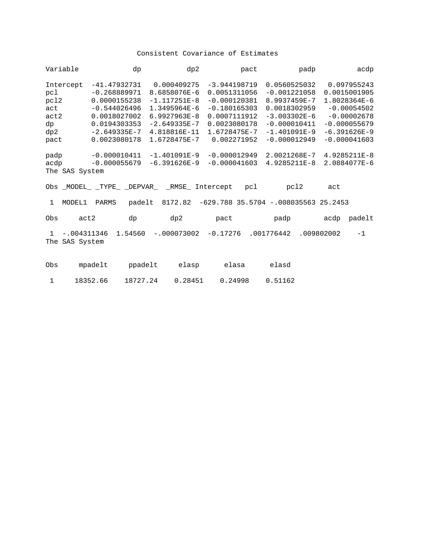| Variable                                                     |                                 |                                                                                                                                        | dp       | dp2                                                                                                                                   |                                                                                                                                   | pact       | padp                                                                                                                                   | acdp                                                                                                                                |  |
|--------------------------------------------------------------|---------------------------------|----------------------------------------------------------------------------------------------------------------------------------------|----------|---------------------------------------------------------------------------------------------------------------------------------------|-----------------------------------------------------------------------------------------------------------------------------------|------------|----------------------------------------------------------------------------------------------------------------------------------------|-------------------------------------------------------------------------------------------------------------------------------------|--|
| Intercept<br>pcl<br>pc12<br>act<br>act2<br>dp<br>dp2<br>pact |                                 | $-41.47932731$<br>$-0.268889971$<br>0.0000155238<br>$-0.544026496$<br>0.0018027002<br>0.0194303353<br>$-2.649335E - 7$<br>0.0023080178 |          | 0.000409275<br>8.6858076E-6<br>$-1.117251E-8$<br>1.3495964E-6<br>$6.9927963E - 8$<br>$-2.649335E - 7$<br>4.818816E-11<br>1.6728475E-7 | $-3.944198719$<br>0.0051311056<br>$-0.000120381$<br>$-0.180165303$<br>0.0007111912<br>0.0023080178<br>1.6728475E-7<br>0.002271952 |            | 0.0560525032<br>$-0.001221058$<br>8.9937459E-7<br>0.0018302959<br>$-3.003302E-6$<br>$-0.000010411$<br>$-1.401091E-9$<br>$-0.000012949$ | 0.097955243<br>0.0015001905<br>1.8028364E-6<br>$-0.00054502$<br>$-0.00002678$<br>$-0.000055679$<br>$-6.391626E-9$<br>$-0.000041603$ |  |
| padp<br>acdp                                                 | The SAS System                  | $-0.000010411$<br>$-0.000055679$                                                                                                       |          | $-1.401091E-9$<br>$-6.391626E-9$<br>Obs _MODEL_ _TYPE_ _DEPVAR_ _RMSE_ Intercept                                                      | $-0.000012949$<br>$-0.000041603$                                                                                                  | pcl        | 2.0021268E-7<br>4.9285211E-8<br>pcl2                                                                                                   | 4.9285211E-8<br>2.0884077E-6<br>act                                                                                                 |  |
| $\mathbf{1}$                                                 | MODEL1                          | PARMS                                                                                                                                  | padelt   |                                                                                                                                       |                                                                                                                                   |            | 8172.82 -629.788 35.5704 -.008035563 25.2453                                                                                           |                                                                                                                                     |  |
| Obs                                                          | act2                            |                                                                                                                                        | dp       | dp2                                                                                                                                   | pact                                                                                                                              |            | padp                                                                                                                                   | acdp padelt                                                                                                                         |  |
| $\mathbf{1}$                                                 | $-.004311346$<br>The SAS System |                                                                                                                                        | 1.54560  | $-.000073002$                                                                                                                         | -0.17276                                                                                                                          | .001776442 |                                                                                                                                        | $-1$<br>.009802002                                                                                                                  |  |
| Obs                                                          |                                 | mpadelt                                                                                                                                | ppadelt  | elasp                                                                                                                                 | elasa                                                                                                                             |            | elasd                                                                                                                                  |                                                                                                                                     |  |
| $\mathbf{1}$                                                 |                                 | 18352.66                                                                                                                               | 18727.24 | 0.28451                                                                                                                               | 0.24998                                                                                                                           |            | 0.51162                                                                                                                                |                                                                                                                                     |  |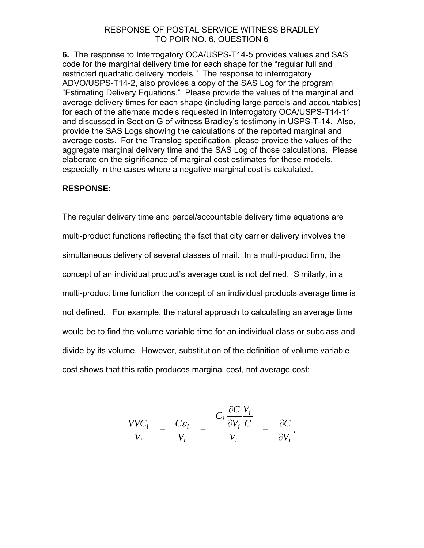**6.** The response to Interrogatory OCA/USPS-T14-5 provides values and SAS code for the marginal delivery time for each shape for the "regular full and restricted quadratic delivery models." The response to interrogatory ADVO/USPS-T14-2, also provides a copy of the SAS Log for the program "Estimating Delivery Equations." Please provide the values of the marginal and average delivery times for each shape (including large parcels and accountables) for each of the alternate models requested in Interrogatory OCA/USPS-T14-11 and discussed in Section G of witness Bradley's testimony in USPS-T-14. Also, provide the SAS Logs showing the calculations of the reported marginal and average costs. For the Translog specification, please provide the values of the aggregate marginal delivery time and the SAS Log of those calculations. Please elaborate on the significance of marginal cost estimates for these models, especially in the cases where a negative marginal cost is calculated.

## **RESPONSE:**

The regular delivery time and parcel/accountable delivery time equations are multi-product functions reflecting the fact that city carrier delivery involves the simultaneous delivery of several classes of mail. In a multi-product firm, the concept of an individual product's average cost is not defined. Similarly, in a multi-product time function the concept of an individual products average time is not defined. For example, the natural approach to calculating an average time would be to find the volume variable time for an individual class or subclass and divide by its volume. However, substitution of the definition of volume variable cost shows that this ratio produces marginal cost, not average cost:

$$
\frac{VVC_i}{V_i} = \frac{C\varepsilon_i}{V_i} = \frac{C_i \frac{\partial C}{\partial V_i} \frac{V_i}{C}}{V_i} = \frac{\partial C}{\partial V_i}.
$$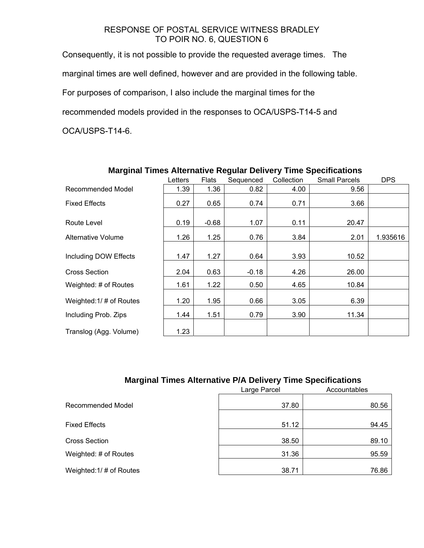Consequently, it is not possible to provide the requested average times. The marginal times are well defined, however and are provided in the following table. For purposes of comparison, I also include the marginal times for the recommended models provided in the responses to OCA/USPS-T14-5 and OCA/USPS-T14-6.

| -- - -                    | Letters | <b>Flats</b> | Sequenced | Collection | <b>Small Parcels</b> | <b>DPS</b> |
|---------------------------|---------|--------------|-----------|------------|----------------------|------------|
| <b>Recommended Model</b>  | 1.39    | 1.36         | 0.82      | 4.00       | 9.56                 |            |
| <b>Fixed Effects</b>      | 0.27    | 0.65         | 0.74      | 0.71       | 3.66                 |            |
| Route Level               | 0.19    | $-0.68$      | 1.07      | 0.11       | 20.47                |            |
| <b>Alternative Volume</b> | 1.26    | 1.25         | 0.76      | 3.84       | 2.01                 | 1.935616   |
| Including DOW Effects     | 1.47    | 1.27         | 0.64      | 3.93       | 10.52                |            |
| <b>Cross Section</b>      | 2.04    | 0.63         | $-0.18$   | 4.26       | 26.00                |            |
| Weighted: # of Routes     | 1.61    | 1.22         | 0.50      | 4.65       | 10.84                |            |
| Weighted: 1/# of Routes   | 1.20    | 1.95         | 0.66      | 3.05       | 6.39                 |            |
| Including Prob. Zips      | 1.44    | 1.51         | 0.79      | 3.90       | 11.34                |            |
| Translog (Agg. Volume)    | 1.23    |              |           |            |                      |            |

## **Marginal Times Alternative Regular Delivery Time Specifications**

## **Marginal Times Alternative P/A Delivery Time Specifications**

|                          | Large Parcel | Accountables |
|--------------------------|--------------|--------------|
| <b>Recommended Model</b> | 37.80        | 80.56        |
| <b>Fixed Effects</b>     | 51.12        | 94.45        |
| <b>Cross Section</b>     | 38.50        | 89.10        |
| Weighted: # of Routes    | 31.36        | 95.59        |
| Weighted: 1/# of Routes  | 38.71        | 76.86        |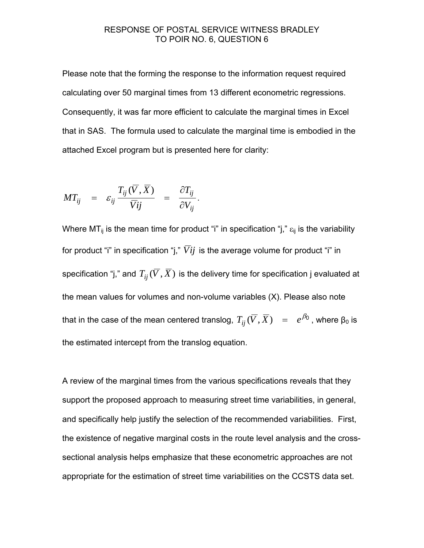Please note that the forming the response to the information request required calculating over 50 marginal times from 13 different econometric regressions. Consequently, it was far more efficient to calculate the marginal times in Excel that in SAS. The formula used to calculate the marginal time is embodied in the attached Excel program but is presented here for clarity:

$$
MT_{ij} = \varepsilon_{ij} \frac{T_{ij}(\overline{V}, \overline{X})}{\overline{V}ij} = \frac{\partial T_{ij}}{\partial V_{ij}}.
$$

Where MT<sub>ij</sub> is the mean time for product "i" in specification "j,"  $\varepsilon_{ij}$  is the variability for product "i" in specification "j,"  $\overline{Vi}$  is the average volume for product "i" in specification "j," and  $T_{ii}(\overline{V}, \overline{X})$  is the delivery time for specification j evaluated at the mean values for volumes and non-volume variables (X). Please also note that in the case of the mean centered translog,  $T_{ij}(\overline{V}, \overline{X}) = e^{\beta_0}$ , where  $\beta_0$  is the estimated intercept from the translog equation.

A review of the marginal times from the various specifications reveals that they support the proposed approach to measuring street time variabilities, in general, and specifically help justify the selection of the recommended variabilities. First, the existence of negative marginal costs in the route level analysis and the crosssectional analysis helps emphasize that these econometric approaches are not appropriate for the estimation of street time variabilities on the CCSTS data set.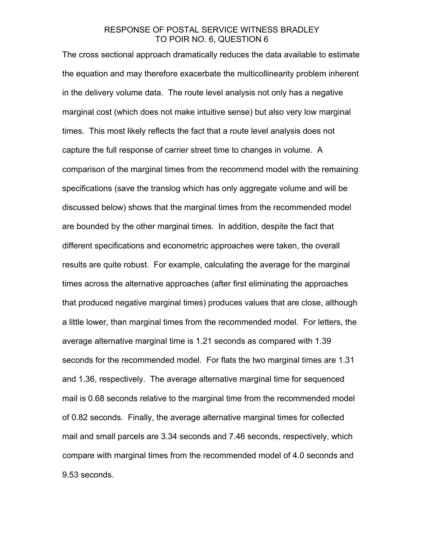The cross sectional approach dramatically reduces the data available to estimate the equation and may therefore exacerbate the multicollinearity problem inherent in the delivery volume data. The route level analysis not only has a negative marginal cost (which does not make intuitive sense) but also very low marginal times. This most likely reflects the fact that a route level analysis does not capture the full response of carrier street time to changes in volume. A comparison of the marginal times from the recommend model with the remaining specifications (save the translog which has only aggregate volume and will be discussed below) shows that the marginal times from the recommended model are bounded by the other marginal times. In addition, despite the fact that different specifications and econometric approaches were taken, the overall results are quite robust. For example, calculating the average for the marginal times across the alternative approaches (after first eliminating the approaches that produced negative marginal times) produces values that are close, although a little lower, than marginal times from the recommended model. For letters, the average alternative marginal time is 1.21 seconds as compared with 1.39 seconds for the recommended model. For flats the two marginal times are 1.31 and 1.36, respectively. The average alternative marginal time for sequenced mail is 0.68 seconds relative to the marginal time from the recommended model of 0.82 seconds. Finally, the average alternative marginal times for collected mail and small parcels are 3.34 seconds and 7.46 seconds, respectively, which compare with marginal times from the recommended model of 4.0 seconds and 9.53 seconds.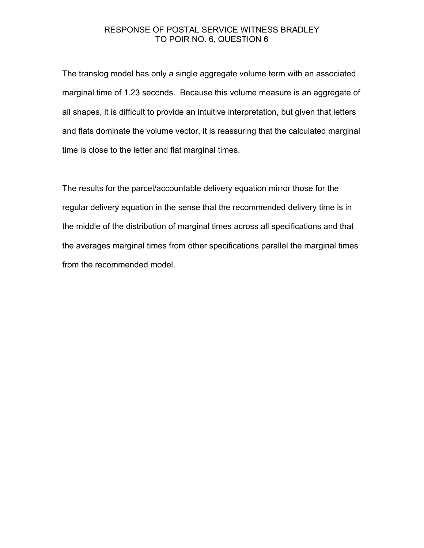The translog model has only a single aggregate volume term with an associated marginal time of 1.23 seconds. Because this volume measure is an aggregate of all shapes, it is difficult to provide an intuitive interpretation, but given that letters and flats dominate the volume vector, it is reassuring that the calculated marginal time is close to the letter and flat marginal times.

The results for the parcel/accountable delivery equation mirror those for the regular delivery equation in the sense that the recommended delivery time is in the middle of the distribution of marginal times across all specifications and that the averages marginal times from other specifications parallel the marginal times from the recommended model.